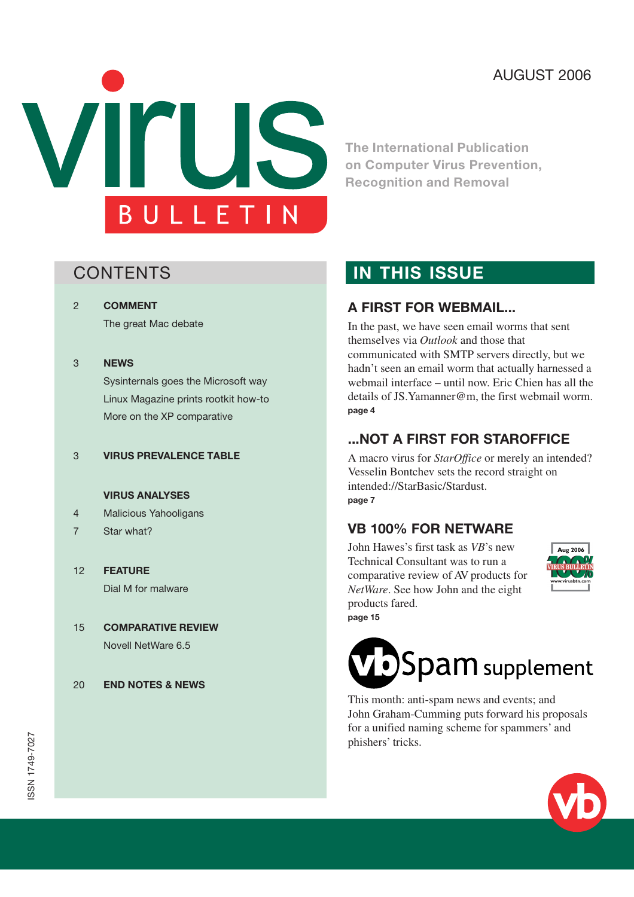# AUGUST 2006



**The International Publication on Computer Virus Prevention, Recognition and Removal**

[2](#page-1-0) **[COMMENT](#page-1-0)**

[The great Mac debate](#page-1-0)

#### [3](#page-2-0) **[NEWS](#page-2-0)**

[Sysinternals goes the Microsoft way](#page-2-0) [Linux Magazine prints rootkit how-to](#page-2-0) [More on the XP comparative](#page-2-0)

#### [3](#page-2-0) **[VIRUS PREVALENCE TABLE](#page-2-0)**

#### **[VIRUS ANALYSES](#page-3-0)**

- [4 Malicious Yahooligans](#page-3-0)
- [7 Star what?](#page-6-0)
- [12](#page-11-0) **[FEATURE](#page-11-0)** [Dial M for malware](#page-11-0)
- [15](#page-14-0) **[COMPARATIVE REVIEW](#page-14-0)** [Novell NetWare 6.5](#page-14-0)
- [20](#page-19-0) **[END NOTES & NEWS](#page-19-0)**

# **CONTENTS CONTENTS**

#### **A FIRST FOR WEBMAIL...**

In the past, we have seen email worms that sent themselves via *Outlook* and those that communicated with SMTP servers directly, but we hadn't seen an email worm that actually harnessed a [webmail interface – until now. Eric Chien has all the](#page-3-0) details of JS.Yamanner@m, the first webmail worm. **[page 4](#page-3-0)**

#### **[...NOT A FIRST FOR STAROFFICE](#page-6-0)**

A macro virus for *StarOffice* or merely an intended? Vesselin Bontchev sets the record straight on intended://StarBasic/Stardust. **[page 7](#page-6-0)**

#### **[VB 100% FOR NETWARE](#page-14-0)**

John Hawes's first task as *VB*'s new Technical Consultant was to run a comparative review of AV products for *NetWare*. See how John and the eight products fared. **[page 15](#page-14-0)**





This month: [anti-spam news and events;](#page-20-0) and John Graham-Cumming puts forward his proposals [for a unified naming scheme for spammers' and](#page-21-0) phishers' tricks.

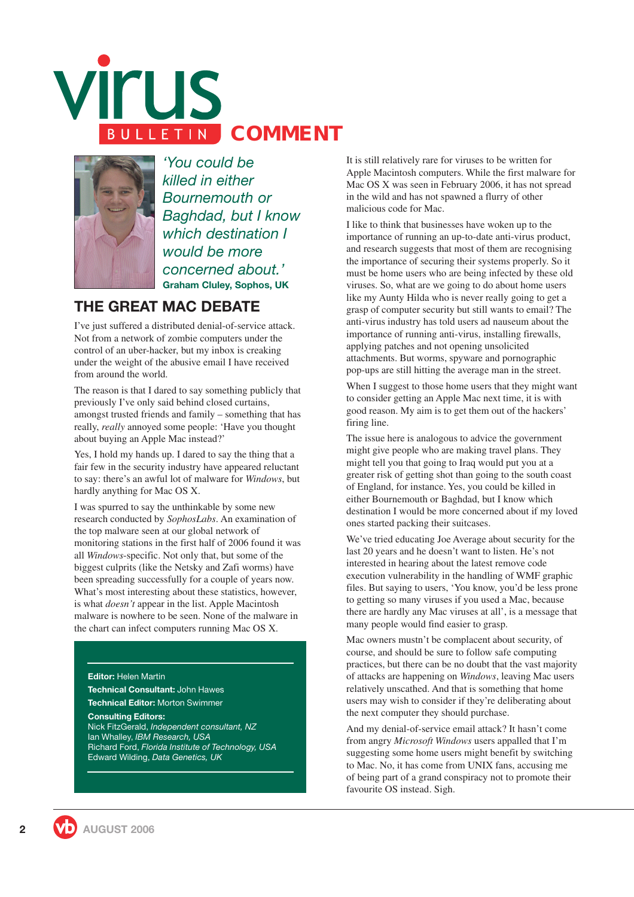<span id="page-1-0"></span>



*'You could be killed in either Bournemouth or Baghdad, but I know which destination I would be more concerned about.'* **Graham Cluley, Sophos, UK**

## **THE GREAT MAC DEBATE**

I've just suffered a distributed denial-of-service attack. Not from a network of zombie computers under the control of an uber-hacker, but my inbox is creaking under the weight of the abusive email I have received from around the world.

The reason is that I dared to say something publicly that previously I've only said behind closed curtains, amongst trusted friends and family – something that has really, *really* annoyed some people: 'Have you thought about buying an Apple Mac instead?'

Yes, I hold my hands up. I dared to say the thing that a fair few in the security industry have appeared reluctant to say: there's an awful lot of malware for *Windows*, but hardly anything for Mac OS X.

I was spurred to say the unthinkable by some new research conducted by *SophosLabs*. An examination of the top malware seen at our global network of monitoring stations in the first half of 2006 found it was all *Windows*-specific. Not only that, but some of the biggest culprits (like the Netsky and Zafi worms) have been spreading successfully for a couple of years now. What's most interesting about these statistics, however, is what *doesn't* appear in the list. Apple Macintosh malware is nowhere to be seen. None of the malware in the chart can infect computers running Mac OS X.

#### **Editor:** Helen Martin

**Technical Consultant:** John Hawes **Technical Editor:** Morton Swimmer

**Consulting Editors:** Nick FitzGerald, *Independent consultant, NZ* Ian Whalley, *IBM Research, USA* Richard Ford, *Florida Institute of Technology, USA* Edward Wilding, *Data Genetics, UK*

It is still relatively rare for viruses to be written for Apple Macintosh computers. While the first malware for Mac OS X was seen in February 2006, it has not spread in the wild and has not spawned a flurry of other malicious code for Mac.

I like to think that businesses have woken up to the importance of running an up-to-date anti-virus product, and research suggests that most of them are recognising the importance of securing their systems properly. So it must be home users who are being infected by these old viruses. So, what are we going to do about home users like my Aunty Hilda who is never really going to get a grasp of computer security but still wants to email? The anti-virus industry has told users ad nauseum about the importance of running anti-virus, installing firewalls, applying patches and not opening unsolicited attachments. But worms, spyware and pornographic pop-ups are still hitting the average man in the street.

When I suggest to those home users that they might want to consider getting an Apple Mac next time, it is with good reason. My aim is to get them out of the hackers' firing line.

The issue here is analogous to advice the government might give people who are making travel plans. They might tell you that going to Iraq would put you at a greater risk of getting shot than going to the south coast of England, for instance. Yes, you could be killed in either Bournemouth or Baghdad, but I know which destination I would be more concerned about if my loved ones started packing their suitcases.

We've tried educating Joe Average about security for the last 20 years and he doesn't want to listen. He's not interested in hearing about the latest remove code execution vulnerability in the handling of WMF graphic files. But saying to users, 'You know, you'd be less prone to getting so many viruses if you used a Mac, because there are hardly any Mac viruses at all', is a message that many people would find easier to grasp.

Mac owners mustn't be complacent about security, of course, and should be sure to follow safe computing practices, but there can be no doubt that the vast majority of attacks are happening on *Windows*, leaving Mac users relatively unscathed. And that is something that home users may wish to consider if they're deliberating about the next computer they should purchase.

And my denial-of-service email attack? It hasn't come from angry *Microsoft Windows* users appalled that I'm suggesting some home users might benefit by switching to Mac. No, it has come from UNIX fans, accusing me of being part of a grand conspiracy not to promote their favourite OS instead. Sigh.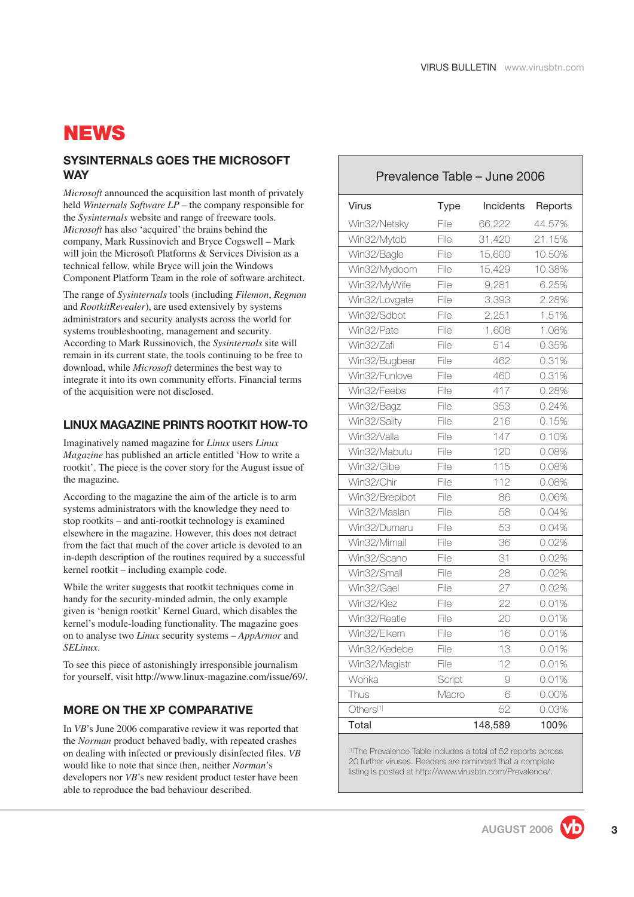# <span id="page-2-0"></span>**NEWS**

#### **SYSINTERNALS GOES THE MICROSOFT WAY**

*Microsoft* announced the acquisition last month of privately held *Winternals Software LP* – the company responsible for the *Sysinternals* website and range of freeware tools. *Microsoft* has also 'acquired' the brains behind the company, Mark Russinovich and Bryce Cogswell – Mark will join the Microsoft Platforms & Services Division as a technical fellow, while Bryce will join the Windows Component Platform Team in the role of software architect.

The range of *Sysinternals* tools (including *Filemon*, *Regmon* and *RootkitRevealer*), are used extensively by systems administrators and security analysts across the world for systems troubleshooting, management and security. According to Mark Russinovich, the *Sysinternals* site will remain in its current state, the tools continuing to be free to download, while *Microsoft* determines the best way to integrate it into its own community efforts. Financial terms of the acquisition were not disclosed.

#### **LINUX MAGAZINE PRINTS ROOTKIT HOW-TO**

Imaginatively named magazine for *Linux* users *Linux Magazine* has published an article entitled 'How to write a rootkit'. The piece is the cover story for the August issue of the magazine.

According to the magazine the aim of the article is to arm systems administrators with the knowledge they need to stop rootkits – and anti-rootkit technology is examined elsewhere in the magazine. However, this does not detract from the fact that much of the cover article is devoted to an in-depth description of the routines required by a successful kernel rootkit – including example code.

While the writer suggests that rootkit techniques come in handy for the security-minded admin, the only example given is 'benign rootkit' Kernel Guard, which disables the kernel's module-loading functionality. The magazine goes on to analyse two *Linux* security systems – *AppArmor* and *SELinux*.

To see this piece of astonishingly irresponsible journalism for yourself, visit [http://www.linux-magazine.com/issue/69/.](http://www.linux-magazine.com/issue/69/)

#### **MORE ON THE XP COMPARATIVE**

In *VB*['s June 2006 comparative review](http://www.virusbtn.com/virusbulletin/archive/2006/06/vb200606-comparative) it was reported that the *Norman* product behaved badly, with repeated crashes on dealing with infected or previously disinfected files. *VB* would like to note that since then, neither *Norman*'s developers nor *VB*'s new resident product tester have been able to reproduce the bad behaviour described.

|                |             | Prevalence Table - June 2006 |         |
|----------------|-------------|------------------------------|---------|
| Virus          | <b>Type</b> | Incidents                    | Reports |
| Win32/Netsky   | File        | 66,222                       | 44.57%  |
| Win32/Mytob    | File        | 31,420                       | 21.15%  |
| Win32/Bagle    | File        | 15,600                       | 10.50%  |
| Win32/Mydoom   | File        | 15,429                       | 10.38%  |
| Win32/MyWife   | File        | 9,281                        | 6.25%   |
| Win32/Lovgate  | File        | 3,393                        | 2.28%   |
| Win32/Sdbot    | File        | 2,251                        | 1.51%   |
| Win32/Pate     | File        | 1,608                        | 1.08%   |
| Win32/Zafi     | File        | 514                          | 0.35%   |
| Win32/Bugbear  | File        | 462                          | 0.31%   |
| Win32/Funlove  | File        | 460                          | 0.31%   |
| Win32/Feebs    | File        | 417                          | 0.28%   |
| Win32/Bagz     | File        | 353                          | 0.24%   |
| Win32/Sality   | File        | 216                          | 0.15%   |
| Win32/Valla    | File        | 147                          | 0.10%   |
| Win32/Mabutu   | File        | 120                          | 0.08%   |
| Win32/Gibe     | File        | 115                          | 0.08%   |
| Win32/Chir     | File        | 112                          | 0.08%   |
| Win32/Brepibot | File        | 86                           | 0.06%   |
| Win32/Maslan   | File        | 58                           | 0.04%   |
| Win32/Dumaru   | File        | 53                           | 0.04%   |
| Win32/Mimail   | File        | 36                           | 0.02%   |
| Win32/Scano    | File        | 31                           | 0.02%   |
| Win32/Small    | File        | 28                           | 0.02%   |
| Win32/Gael     | File        | 27                           | 0.02%   |
| Win32/Klez     | File        | 22                           | 0.01%   |
| Win32/Reatle   | File        | 20                           | 0.01%   |
| Win32/Elkern   | File        | 16                           | 0.01%   |
| Win32/Kedebe   | File        | 13                           | 0.01%   |
| Win32/Magistr  | File        | 12                           | 0.01%   |
| Wonka          | Script      | 9                            | 0.01%   |
| Thus           | Macro       | 6                            | 0.00%   |
| Others[1]      |             | 52                           | 0.03%   |
| Total          |             | 148,589                      | 100%    |

[1]The Prevalence Table includes a total of 52 reports across 20 further viruses. Readers are reminded that a complete listing is posted at [http://www.virusbtn.com/Prevalence/.](http://www.virusbtn.com/Prevalence/)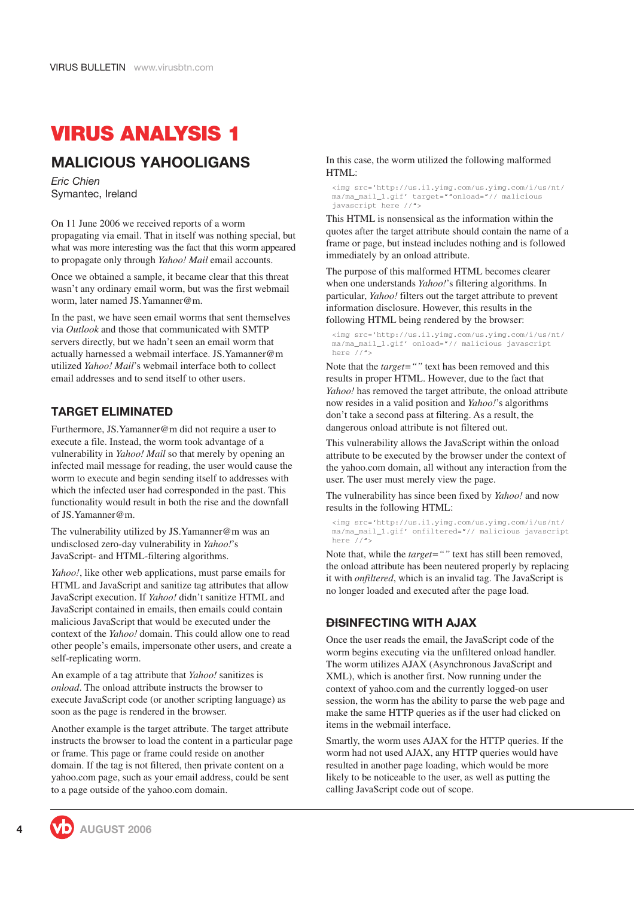# <span id="page-3-0"></span>**VIRUS ANALYSIS 1**

#### **MALICIOUS YAHOOLIGANS**

*Eric Chien* Symantec, Ireland

On 11 June 2006 we received reports of a worm propagating via email. That in itself was nothing special, but what was more interesting was the fact that this worm appeared to propagate only through *Yahoo! Mail* email accounts.

Once we obtained a sample, it became clear that this threat wasn't any ordinary email worm, but was the first webmail worm, later named JS.Yamanner@m.

In the past, we have seen email worms that sent themselves via *Outlook* and those that communicated with SMTP servers directly, but we hadn't seen an email worm that actually harnessed a webmail interface. JS.Yamanner@m utilized *Yahoo! Mail*'s webmail interface both to collect email addresses and to send itself to other users.

#### **TARGET ELIMINATED**

Furthermore, JS.Yamanner@m did not require a user to execute a file. Instead, the worm took advantage of a vulnerability in *Yahoo! Mail* so that merely by opening an infected mail message for reading, the user would cause the worm to execute and begin sending itself to addresses with which the infected user had corresponded in the past. This functionality would result in both the rise and the downfall of JS.Yamanner@m.

The vulnerability utilized by JS.Yamanner@m was an undisclosed zero-day vulnerability in *Yahoo!*'s JavaScript- and HTML-filtering algorithms.

*Yahoo!*, like other web applications, must parse emails for HTML and JavaScript and sanitize tag attributes that allow JavaScript execution. If *Yahoo!* didn't sanitize HTML and JavaScript contained in emails, then emails could contain malicious JavaScript that would be executed under the context of the *Yahoo!* domain. This could allow one to read other people's emails, impersonate other users, and create a self-replicating worm.

An example of a tag attribute that *Yahoo!* sanitizes is *onload*. The onload attribute instructs the browser to execute JavaScript code (or another scripting language) as soon as the page is rendered in the browser.

Another example is the target attribute. The target attribute instructs the browser to load the content in a particular page or frame. This page or frame could reside on another domain. If the tag is not filtered, then private content on a yahoo.com page, such as your email address, could be sent to a page outside of the yahoo.com domain.

In this case, the worm utilized the following malformed HTML:

<img src='http://us.i1.yimg.com/us.yimg.com/i/us/nt/ ma/ma\_mail\_1.gif' target=""onload="// malicious javascript here //">

This HTML is nonsensical as the information within the quotes after the target attribute should contain the name of a frame or page, but instead includes nothing and is followed immediately by an onload attribute.

The purpose of this malformed HTML becomes clearer when one understands *Yahoo!*'s filtering algorithms. In particular, *Yahoo!* filters out the target attribute to prevent information disclosure. However, this results in the following HTML being rendered by the browser:

<img src='http://us.i1.yimg.com/us.yimg.com/i/us/nt/ ma/ma\_mail\_1.gif' onload="// malicious javascript here  $//$ ">

Note that the *target=""* text has been removed and this results in proper HTML. However, due to the fact that *Yahoo!* has removed the target attribute, the onload attribute now resides in a valid position and *Yahoo!*'s algorithms don't take a second pass at filtering. As a result, the dangerous onload attribute is not filtered out.

This vulnerability allows the JavaScript within the onload attribute to be executed by the browser under the context of the yahoo.com domain, all without any interaction from the user. The user must merely view the page.

The vulnerability has since been fixed by *Yahoo!* and now results in the following HTML:

<img src='http://us.i1.yimg.com/us.yimg.com/i/us/nt/ ma/ma\_mail\_1.gif' onfiltered="// malicious javascript here //">

Note that, while the *target=""* text has still been removed, the onload attribute has been neutered properly by replacing it with *onfiltered*, which is an invalid tag. The JavaScript is no longer loaded and executed after the page load.

#### **DISINFECTING WITH AJAX**

Once the user reads the email, the JavaScript code of the worm begins executing via the unfiltered onload handler. The worm utilizes AJAX (Asynchronous JavaScript and XML), which is another first. Now running under the context of yahoo.com and the currently logged-on user session, the worm has the ability to parse the web page and make the same HTTP queries as if the user had clicked on items in the webmail interface.

Smartly, the worm uses AJAX for the HTTP queries. If the worm had not used AJAX, any HTTP queries would have resulted in another page loading, which would be more likely to be noticeable to the user, as well as putting the calling JavaScript code out of scope.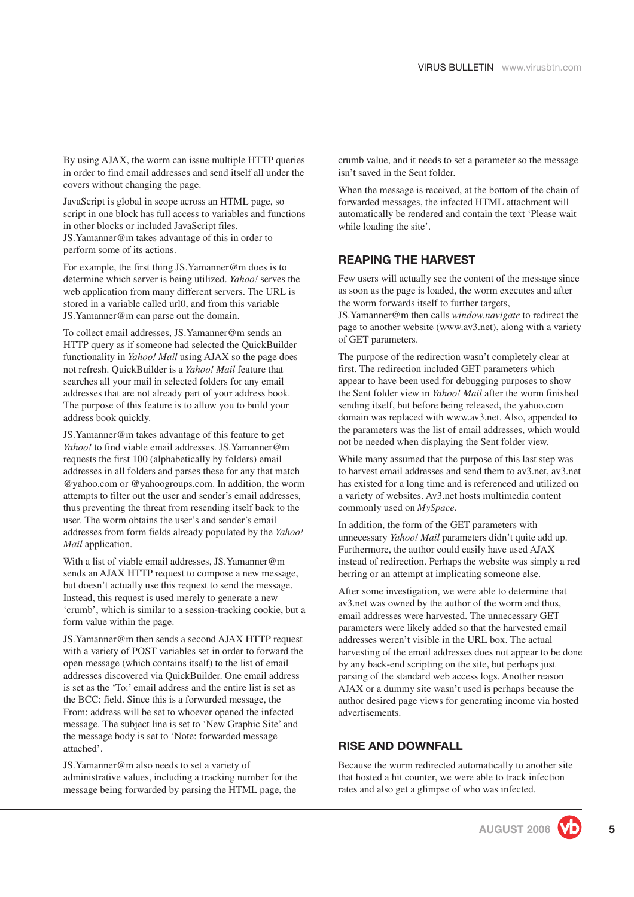By using AJAX, the worm can issue multiple HTTP queries in order to find email addresses and send itself all under the covers without changing the page.

JavaScript is global in scope across an HTML page, so script in one block has full access to variables and functions in other blocks or included JavaScript files. JS.Yamanner@m takes advantage of this in order to perform some of its actions.

For example, the first thing JS.Yamanner@m does is to determine which server is being utilized. *Yahoo!* serves the web application from many different servers. The URL is stored in a variable called url0, and from this variable JS.Yamanner@m can parse out the domain.

To collect email addresses, JS.Yamanner@m sends an HTTP query as if someone had selected the QuickBuilder functionality in *Yahoo! Mail* using AJAX so the page does not refresh. QuickBuilder is a *Yahoo! Mail* feature that searches all your mail in selected folders for any email addresses that are not already part of your address book. The purpose of this feature is to allow you to build your address book quickly.

JS.Yamanner@m takes advantage of this feature to get *Yahoo!* to find viable email addresses. JS.Yamanner@m requests the first 100 (alphabetically by folders) email addresses in all folders and parses these for any that match @yahoo.com or @yahoogroups.com. In addition, the worm attempts to filter out the user and sender's email addresses, thus preventing the threat from resending itself back to the user. The worm obtains the user's and sender's email addresses from form fields already populated by the *Yahoo! Mail* application.

With a list of viable email addresses, JS.Yamanner@m sends an AJAX HTTP request to compose a new message, but doesn't actually use this request to send the message. Instead, this request is used merely to generate a new 'crumb', which is similar to a session-tracking cookie, but a form value within the page.

JS.Yamanner@m then sends a second AJAX HTTP request with a variety of POST variables set in order to forward the open message (which contains itself) to the list of email addresses discovered via QuickBuilder. One email address is set as the 'To:' email address and the entire list is set as the BCC: field. Since this is a forwarded message, the From: address will be set to whoever opened the infected message. The subject line is set to 'New Graphic Site' and the message body is set to 'Note: forwarded message attached'.

JS.Yamanner@m also needs to set a variety of administrative values, including a tracking number for the message being forwarded by parsing the HTML page, the crumb value, and it needs to set a parameter so the message isn't saved in the Sent folder.

When the message is received, at the bottom of the chain of forwarded messages, the infected HTML attachment will automatically be rendered and contain the text 'Please wait while loading the site'.

#### **REAPING THE HARVEST**

Few users will actually see the content of the message since as soon as the page is loaded, the worm executes and after the worm forwards itself to further targets,

JS.Yamanner@m then calls *window.navigate* to redirect the page to another website (www.av3.net), along with a variety of GET parameters.

The purpose of the redirection wasn't completely clear at first. The redirection included GET parameters which appear to have been used for debugging purposes to show the Sent folder view in *Yahoo! Mail* after the worm finished sending itself, but before being released, the yahoo.com domain was replaced with www.av3.net. Also, appended to the parameters was the list of email addresses, which would not be needed when displaying the Sent folder view.

While many assumed that the purpose of this last step was to harvest email addresses and send them to av3.net, av3.net has existed for a long time and is referenced and utilized on a variety of websites. Av3.net hosts multimedia content commonly used on *MySpace*.

In addition, the form of the GET parameters with unnecessary *Yahoo! Mail* parameters didn't quite add up. Furthermore, the author could easily have used AJAX instead of redirection. Perhaps the website was simply a red herring or an attempt at implicating someone else.

After some investigation, we were able to determine that av3.net was owned by the author of the worm and thus, email addresses were harvested. The unnecessary GET parameters were likely added so that the harvested email addresses weren't visible in the URL box. The actual harvesting of the email addresses does not appear to be done by any back-end scripting on the site, but perhaps just parsing of the standard web access logs. Another reason AJAX or a dummy site wasn't used is perhaps because the author desired page views for generating income via hosted advertisements.

#### **RISE AND DOWNFALL**

Because the worm redirected automatically to another site that hosted a hit counter, we were able to track infection rates and also get a glimpse of who was infected.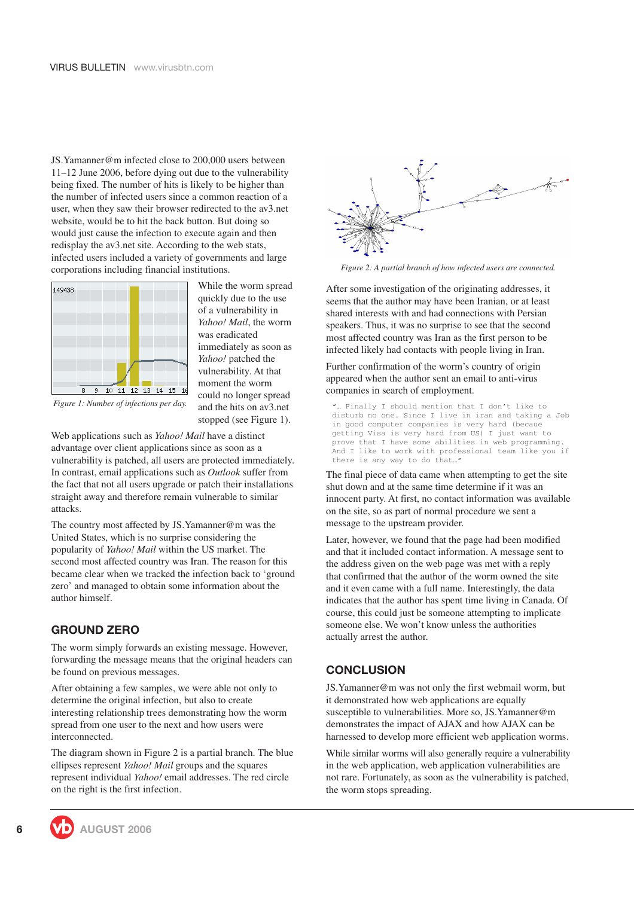JS.Yamanner@m infected close to 200,000 users between 11–12 June 2006, before dying out due to the vulnerability being fixed. The number of hits is likely to be higher than the number of infected users since a common reaction of a user, when they saw their browser redirected to the av3.net website, would be to hit the back button. But doing so would just cause the infection to execute again and then redisplay the av3.net site. According to the web stats, infected users included a variety of governments and large corporations including financial institutions.



While the worm spread quickly due to the use of a vulnerability in *Yahoo! Mail*, the worm was eradicated immediately as soon as *Yahoo!* patched the vulnerability. At that moment the worm could no longer spread and the hits on av3.net stopped (see Figure 1).



Web applications such as *Yahoo! Mail* have a distinct advantage over client applications since as soon as a vulnerability is patched, all users are protected immediately. In contrast, email applications such as *Outlook* suffer from the fact that not all users upgrade or patch their installations straight away and therefore remain vulnerable to similar attacks.

The country most affected by JS.Yamanner@m was the United States, which is no surprise considering the popularity of *Yahoo! Mail* within the US market. The second most affected country was Iran. The reason for this became clear when we tracked the infection back to 'ground zero' and managed to obtain some information about the author himself.

#### **GROUND ZERO**

The worm simply forwards an existing message. However, forwarding the message means that the original headers can be found on previous messages.

After obtaining a few samples, we were able not only to determine the original infection, but also to create interesting relationship trees demonstrating how the worm spread from one user to the next and how users were interconnected.

The diagram shown in Figure 2 is a partial branch. The blue ellipses represent *Yahoo! Mail* groups and the squares represent individual *Yahoo!* email addresses. The red circle on the right is the first infection.



*Figure 2: A partial branch of how infected users are connected.*

After some investigation of the originating addresses, it seems that the author may have been Iranian, or at least shared interests with and had connections with Persian speakers. Thus, it was no surprise to see that the second most affected country was Iran as the first person to be infected likely had contacts with people living in Iran.

Further confirmation of the worm's country of origin appeared when the author sent an email to anti-virus companies in search of employment.

... Finally I should mention that I don't like to disturb no one. Since I live in iran and taking a Job in good computer companies is very hard (becaue getting Visa is very hard from US) I just want to prove that I have some abilities in web programming. And I like to work with professional team like you if there is any way to do that…"

The final piece of data came when attempting to get the site shut down and at the same time determine if it was an innocent party. At first, no contact information was available on the site, so as part of normal procedure we sent a message to the upstream provider.

Later, however, we found that the page had been modified and that it included contact information. A message sent to the address given on the web page was met with a reply that confirmed that the author of the worm owned the site and it even came with a full name. Interestingly, the data indicates that the author has spent time living in Canada. Of course, this could just be someone attempting to implicate someone else. We won't know unless the authorities actually arrest the author.

#### **CONCLUSION**

JS.Yamanner@m was not only the first webmail worm, but it demonstrated how web applications are equally susceptible to vulnerabilities. More so, JS.Yamanner@m demonstrates the impact of AJAX and how AJAX can be harnessed to develop more efficient web application worms.

While similar worms will also generally require a vulnerability in the web application, web application vulnerabilities are not rare. Fortunately, as soon as the vulnerability is patched, the worm stops spreading.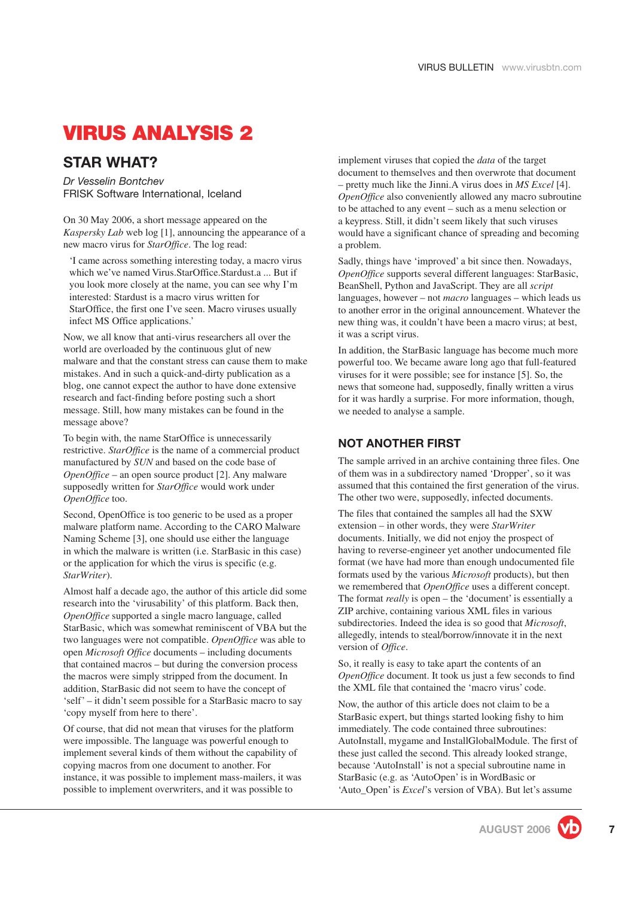# <span id="page-6-0"></span>**VIRUS ANALYSIS 2**

## **STAR WHAT?**

*Dr Vesselin Bontchev* FRISK Software International, Iceland

On 30 May 2006, a short message appeared on the *Kaspersky Lab* web log [\[1\]](#page-10-0), announcing the appearance of a new macro virus for *StarOffice*. The log read:

'I came across something interesting today, a macro virus which we've named Virus.StarOffice.Stardust.a ... But if you look more closely at the name, you can see why I'm interested: Stardust is a macro virus written for StarOffice, the first one I've seen. Macro viruses usually infect MS Office applications.'

Now, we all know that anti-virus researchers all over the world are overloaded by the continuous glut of new malware and that the constant stress can cause them to make mistakes. And in such a quick-and-dirty publication as a blog, one cannot expect the author to have done extensive research and fact-finding before posting such a short message. Still, how many mistakes can be found in the message above?

To begin with, the name StarOffice is unnecessarily restrictive. *StarOffice* is the name of a commercial product manufactured by *SUN* and based on the code base of *OpenOffice* – an open source product [\[2\]](#page-10-0). Any malware supposedly written for *StarOffice* would work under *OpenOffice* too.

Second, OpenOffice is too generic to be used as a proper malware platform name. According to the CARO Malware Naming Scheme [\[3\]](#page-10-0), one should use either the language in which the malware is written (i.e. StarBasic in this case) or the application for which the virus is specific (e.g. *StarWriter*).

Almost half a decade ago, the author of this article did some research into the 'virusability' of this platform. Back then, *OpenOffice* supported a single macro language, called StarBasic, which was somewhat reminiscent of VBA but the two languages were not compatible. *OpenOffice* was able to open *Microsoft Office* documents – including documents that contained macros – but during the conversion process the macros were simply stripped from the document. In addition, StarBasic did not seem to have the concept of 'self' – it didn't seem possible for a StarBasic macro to say 'copy myself from here to there'.

Of course, that did not mean that viruses for the platform were impossible. The language was powerful enough to implement several kinds of them without the capability of copying macros from one document to another. For instance, it was possible to implement mass-mailers, it was possible to implement overwriters, and it was possible to

implement viruses that copied the *data* of the target document to themselves and then overwrote that document – pretty much like the Jinni.A virus does in *MS Excel* [\[4\]](#page-10-0). *OpenOffice* also conveniently allowed any macro subroutine to be attached to any event – such as a menu selection or a keypress. Still, it didn't seem likely that such viruses would have a significant chance of spreading and becoming a problem.

Sadly, things have 'improved' a bit since then. Nowadays, *OpenOffice* supports several different languages: StarBasic, BeanShell, Python and JavaScript. They are all *script* languages, however – not *macro* languages – which leads us to another error in the original announcement. Whatever the new thing was, it couldn't have been a macro virus; at best, it was a script virus.

In addition, the StarBasic language has become much more powerful too. We became aware long ago that full-featured viruses for it were possible; see for instance [\[5\]](#page-10-0). So, the news that someone had, supposedly, finally written a virus for it was hardly a surprise. For more information, though, we needed to analyse a sample.

#### **NOT ANOTHER FIRST**

The sample arrived in an archive containing three files. One of them was in a subdirectory named 'Dropper', so it was assumed that this contained the first generation of the virus. The other two were, supposedly, infected documents.

The files that contained the samples all had the SXW extension – in other words, they were *StarWriter* documents. Initially, we did not enjoy the prospect of having to reverse-engineer yet another undocumented file format (we have had more than enough undocumented file formats used by the various *Microsoft* products), but then we remembered that *OpenOffice* uses a different concept. The format *really* is open – the 'document' is essentially a ZIP archive, containing various XML files in various subdirectories. Indeed the idea is so good that *Microsoft*, allegedly, intends to steal/borrow/innovate it in the next version of *Office*.

So, it really is easy to take apart the contents of an *OpenOffice* document. It took us just a few seconds to find the XML file that contained the 'macro virus' code.

Now, the author of this article does not claim to be a StarBasic expert, but things started looking fishy to him immediately. The code contained three subroutines: AutoInstall, mygame and InstallGlobalModule. The first of these just called the second. This already looked strange, because 'AutoInstall' is not a special subroutine name in StarBasic (e.g. as 'AutoOpen' is in WordBasic or 'Auto\_Open' is *Excel*'s version of VBA). But let's assume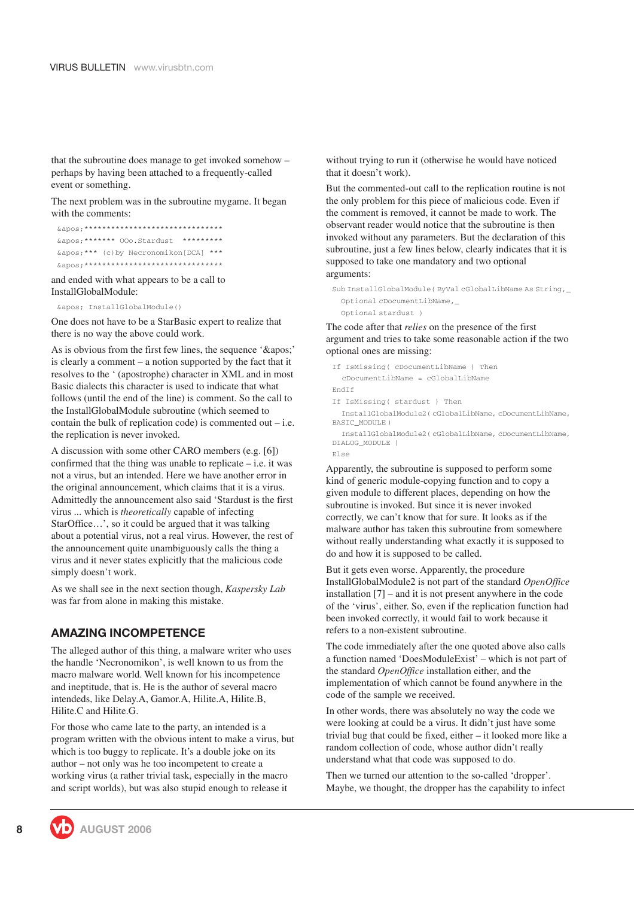that the subroutine does manage to get invoked somehow – perhaps by having been attached to a frequently-called event or something.

The next problem was in the subroutine mygame. It began with the comments:

| ': *******************************   |  |  |  |  |  |  |  |  |  |           |  |  |
|--------------------------------------|--|--|--|--|--|--|--|--|--|-----------|--|--|
| ': ******* 00o.Stardust              |  |  |  |  |  |  |  |  |  | ********* |  |  |
| ': *** (c) by Necronomikon [DCA] *** |  |  |  |  |  |  |  |  |  |           |  |  |
| ' *******************************    |  |  |  |  |  |  |  |  |  |           |  |  |

and ended with what appears to be a call to InstallGlobalModule:

' InstallGlobalModule()

One does not have to be a StarBasic expert to realize that there is no way the above could work.

As is obvious from the first few lines, the sequence  $'$ '' is clearly a comment – a notion supported by the fact that it resolves to the ' (apostrophe) character in XML and in most Basic dialects this character is used to indicate that what follows (until the end of the line) is comment. So the call to the InstallGlobalModule subroutine (which seemed to contain the bulk of replication code) is commented out  $-$  i.e. the replication is never invoked.

A discussion with some other CARO members (e.g. [\[6\]](#page-10-0)) confirmed that the thing was unable to replicate  $-$  i.e. it was not a virus, but an intended. Here we have another error in the original announcement, which claims that it is a virus. Admittedly the announcement also said 'Stardust is the first virus ... which is *theoretically* capable of infecting StarOffice…', so it could be argued that it was talking about a potential virus, not a real virus. However, the rest of the announcement quite unambiguously calls the thing a virus and it never states explicitly that the malicious code simply doesn't work.

As we shall see in the next section though, *Kaspersky Lab* was far from alone in making this mistake.

#### **AMAZING INCOMPETENCE**

The alleged author of this thing, a malware writer who uses the handle 'Necronomikon', is well known to us from the macro malware world. Well known for his incompetence and ineptitude, that is. He is the author of several macro intendeds, like Delay.A, Gamor.A, Hilite.A, Hilite.B, Hilite.C and Hilite.G.

For those who came late to the party, an intended is a program written with the obvious intent to make a virus, but which is too buggy to replicate. It's a double joke on its author – not only was he too incompetent to create a working virus (a rather trivial task, especially in the macro and script worlds), but was also stupid enough to release it

without trying to run it (otherwise he would have noticed that it doesn't work).

But the commented-out call to the replication routine is not the only problem for this piece of malicious code. Even if the comment is removed, it cannot be made to work. The observant reader would notice that the subroutine is then invoked without any parameters. But the declaration of this subroutine, just a few lines below, clearly indicates that it is supposed to take one mandatory and two optional arguments:

Sub InstallGlobalModule( ByVal cGlobalLibName As String,\_ Optional cDocumentLibName,\_ Optional stardust )

The code after that *relies* on the presence of the first argument and tries to take some reasonable action if the two optional ones are missing:

```
If IsMissing( cDocumentLibName ) Then
  cDocumentLibName = cGlobalLibName
EndIf
If IsMissing( stardust ) Then
  InstallGlobalModule2( cGlobalLibName, cDocumentLibName,
```
BASIC\_MODULE )

InstallGlobalModule2( cGlobalLibName, cDocumentLibName, DIALOG\_MODULE ) Else

Apparently, the subroutine is supposed to perform some kind of generic module-copying function and to copy a given module to different places, depending on how the subroutine is invoked. But since it is never invoked correctly, we can't know that for sure. It looks as if the malware author has taken this subroutine from somewhere without really understanding what exactly it is supposed to do and how it is supposed to be called.

But it gets even worse. Apparently, the procedure InstallGlobalModule2 is not part of the standard *OpenOffice* installation [\[7\]](#page-10-0) – and it is not present anywhere in the code of the 'virus', either. So, even if the replication function had been invoked correctly, it would fail to work because it refers to a non-existent subroutine.

The code immediately after the one quoted above also calls a function named 'DoesModuleExist' – which is not part of the standard *OpenOffice* installation either, and the implementation of which cannot be found anywhere in the code of the sample we received.

In other words, there was absolutely no way the code we were looking at could be a virus. It didn't just have some trivial bug that could be fixed, either – it looked more like a random collection of code, whose author didn't really understand what that code was supposed to do.

Then we turned our attention to the so-called 'dropper'. Maybe, we thought, the dropper has the capability to infect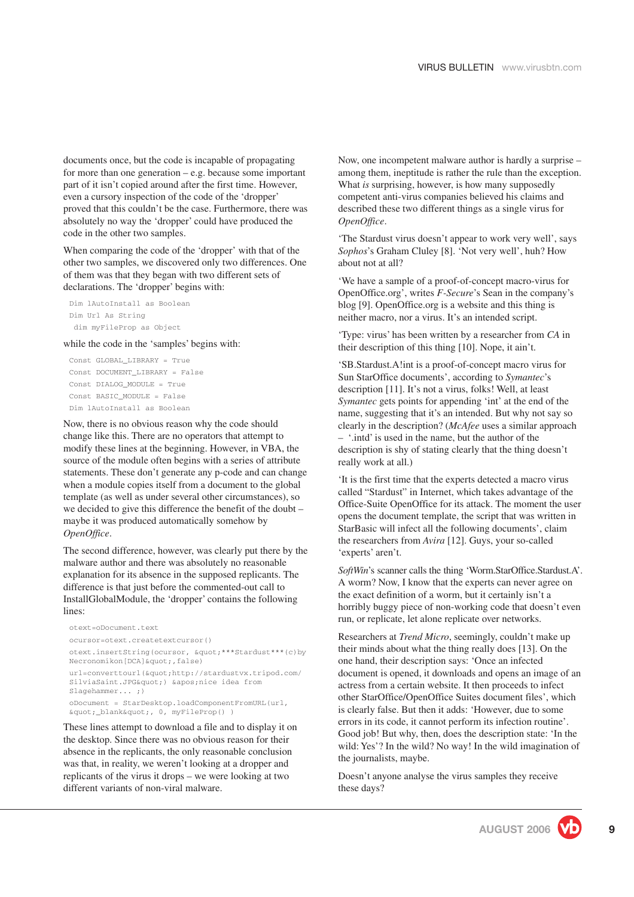documents once, but the code is incapable of propagating for more than one generation – e.g. because some important part of it isn't copied around after the first time. However, even a cursory inspection of the code of the 'dropper' proved that this couldn't be the case. Furthermore, there was absolutely no way the 'dropper' could have produced the code in the other two samples.

When comparing the code of the 'dropper' with that of the other two samples, we discovered only two differences. One of them was that they began with two different sets of declarations. The 'dropper' begins with:

Dim lAutoInstall as Boolean Dim Url As String dim myFileProp as Object

while the code in the 'samples' begins with:

Const GLOBAL\_LIBRARY = True Const DOCUMENT\_LIBRARY = False Const DIALOG\_MODULE = True Const BASIC\_MODULE = False Dim lAutoInstall as Boolean

Now, there is no obvious reason why the code should change like this. There are no operators that attempt to modify these lines at the beginning. However, in VBA, the source of the module often begins with a series of attribute statements. These don't generate any p-code and can change when a module copies itself from a document to the global template (as well as under several other circumstances), so we decided to give this difference the benefit of the doubt – maybe it was produced automatically somehow by *OpenOffice*.

The second difference, however, was clearly put there by the malware author and there was absolutely no reasonable explanation for its absence in the supposed replicants. The difference is that just before the commented-out call to InstallGlobalModule, the 'dropper' contains the following lines:

```
otext=oDocument.text
ocursor=otext.createtextcursor()
otext.insertString(ocursor, " ***Stardust***(c)by
Necronomikon[DCA] ", false)
url=converttourl("http://stardustvx.tripod.com/
SilviaSaint.JPG") 'nice idea from
Slagehammer... ;)
oDocument = StarDesktop.loadComponentFromURL(url,
"_blank", 0, myFileProp() )
```
These lines attempt to download a file and to display it on the desktop. Since there was no obvious reason for their absence in the replicants, the only reasonable conclusion was that, in reality, we weren't looking at a dropper and replicants of the virus it drops – we were looking at two different variants of non-viral malware.

Now, one incompetent malware author is hardly a surprise – among them, ineptitude is rather the rule than the exception. What *is* surprising, however, is how many supposedly competent anti-virus companies believed his claims and described these two different things as a single virus for *OpenOffice*.

'The Stardust virus doesn't appear to work very well', says *Sophos*'s Graham Cluley [\[8\].](#page-10-0) 'Not very well', huh? How about not at all?

'We have a sample of a proof-of-concept macro-virus for OpenOffice.org', writes *F-Secure*'s Sean in the company's blog [\[9\].](#page-10-0) OpenOffice.org is a website and this thing is neither macro, nor a virus. It's an intended script.

'Type: virus' has been written by a researcher from *CA* in their description of this thing [\[10\]](#page-10-0). Nope, it ain't.

'SB.Stardust.A!int is a proof-of-concept macro virus for Sun StarOffice documents', according to *Symantec*'s description [\[11\].](#page-10-0) It's not a virus, folks! Well, at least *Symantec* gets points for appending 'int' at the end of the name, suggesting that it's an intended. But why not say so clearly in the description? (*McAfee* uses a similar approach – '.intd' is used in the name, but the author of the description is shy of stating clearly that the thing doesn't really work at all.)

'It is the first time that the experts detected a macro virus called "Stardust" in Internet, which takes advantage of the Office-Suite OpenOffice for its attack. The moment the user opens the document template, the script that was written in StarBasic will infect all the following documents', claim the researchers from *Avira* [\[12\]](#page-10-0). Guys, your so-called 'experts' aren't.

*SoftWin*'s scanner calls the thing 'Worm.StarOffice.Stardust.A'. A worm? Now, I know that the experts can never agree on the exact definition of a worm, but it certainly isn't a horribly buggy piece of non-working code that doesn't even run, or replicate, let alone replicate over networks.

Researchers at *Trend Micro*, seemingly, couldn't make up their minds about what the thing really does [\[13\]](#page-10-0). On the one hand, their description says: 'Once an infected document is opened, it downloads and opens an image of an actress from a certain website. It then proceeds to infect other StarOffice/OpenOffice Suites document files', which is clearly false. But then it adds: 'However, due to some errors in its code, it cannot perform its infection routine'. Good job! But why, then, does the description state: 'In the wild: Yes'? In the wild? No way! In the wild imagination of the journalists, maybe.

Doesn't anyone analyse the virus samples they receive these days?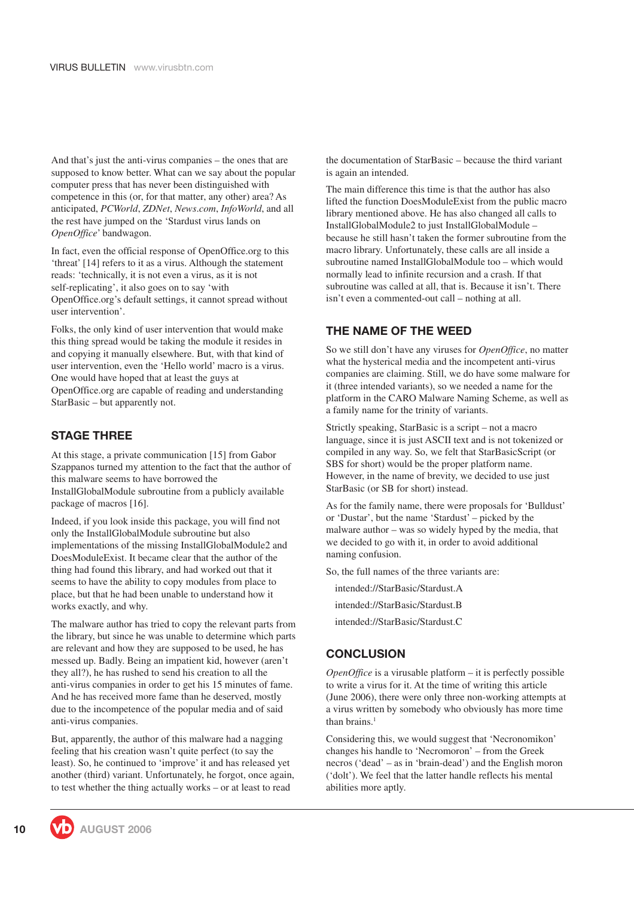And that's just the anti-virus companies – the ones that are supposed to know better. What can we say about the popular computer press that has never been distinguished with competence in this (or, for that matter, any other) area? As anticipated, *PCWorld*, *ZDNet*, *News*.*com*, *InfoWorld*, and all the rest have jumped on the 'Stardust virus lands on *OpenOffice*' bandwagon.

In fact, even the official response of OpenOffice.org to this 'threat' [\[14\]](#page-10-0) refers to it as a virus. Although the statement reads: 'technically, it is not even a virus, as it is not self-replicating', it also goes on to say 'with OpenOffice.org's default settings, it cannot spread without user intervention'.

Folks, the only kind of user intervention that would make this thing spread would be taking the module it resides in and copying it manually elsewhere. But, with that kind of user intervention, even the 'Hello world' macro is a virus. One would have hoped that at least the guys at OpenOffice.org are capable of reading and understanding StarBasic – but apparently not.

#### **STAGE THREE**

At this stage, a private communication [\[15\]](#page-10-0) from Gabor Szappanos turned my attention to the fact that the author of this malware seems to have borrowed the InstallGlobalModule subroutine from a publicly available package of macros [\[16\]](#page-10-0).

Indeed, if you look inside this package, you will find not only the InstallGlobalModule subroutine but also implementations of the missing InstallGlobalModule2 and DoesModuleExist. It became clear that the author of the thing had found this library, and had worked out that it seems to have the ability to copy modules from place to place, but that he had been unable to understand how it works exactly, and why.

The malware author has tried to copy the relevant parts from the library, but since he was unable to determine which parts are relevant and how they are supposed to be used, he has messed up. Badly. Being an impatient kid, however (aren't they all?), he has rushed to send his creation to all the anti-virus companies in order to get his 15 minutes of fame. And he has received more fame than he deserved, mostly due to the incompetence of the popular media and of said anti-virus companies.

But, apparently, the author of this malware had a nagging feeling that his creation wasn't quite perfect (to say the least). So, he continued to 'improve' it and has released yet another (third) variant. Unfortunately, he forgot, once again, to test whether the thing actually works – or at least to read

the documentation of StarBasic – because the third variant is again an intended.

The main difference this time is that the author has also lifted the function DoesModuleExist from the public macro library mentioned above. He has also changed all calls to InstallGlobalModule2 to just InstallGlobalModule – because he still hasn't taken the former subroutine from the macro library. Unfortunately, these calls are all inside a subroutine named InstallGlobalModule too – which would normally lead to infinite recursion and a crash. If that subroutine was called at all, that is. Because it isn't. There isn't even a commented-out call – nothing at all.

#### **THE NAME OF THE WEED**

So we still don't have any viruses for *OpenOffice*, no matter what the hysterical media and the incompetent anti-virus companies are claiming. Still, we do have some malware for it (three intended variants), so we needed a name for the platform in the CARO Malware Naming Scheme, as well as a family name for the trinity of variants.

Strictly speaking, StarBasic is a script – not a macro language, since it is just ASCII text and is not tokenized or compiled in any way. So, we felt that StarBasicScript (or SBS for short) would be the proper platform name. However, in the name of brevity, we decided to use just StarBasic (or SB for short) instead.

As for the family name, there were proposals for 'Bulldust' or 'Dustar', but the name 'Stardust' – picked by the malware author – was so widely hyped by the media, that we decided to go with it, in order to avoid additional naming confusion.

So, the full names of the three variants are:

intended://StarBasic/Stardust.A

- intended://StarBasic/Stardust.B
- intended://StarBasic/Stardust.C

#### **CONCLUSION**

*OpenOffice* is a virusable platform – it is perfectly possible to write a virus for it. At the time of writing this article (June 2006), there were only three non-working attempts at a virus written by somebody who obviously has more time than brains.<sup>1</sup>

Considering this, we would suggest that 'Necronomikon' changes his handle to 'Necromoron' – from the Greek necros ('dead' – as in 'brain-dead') and the English moron ('dolt'). We feel that the latter handle reflects his mental abilities more aptly.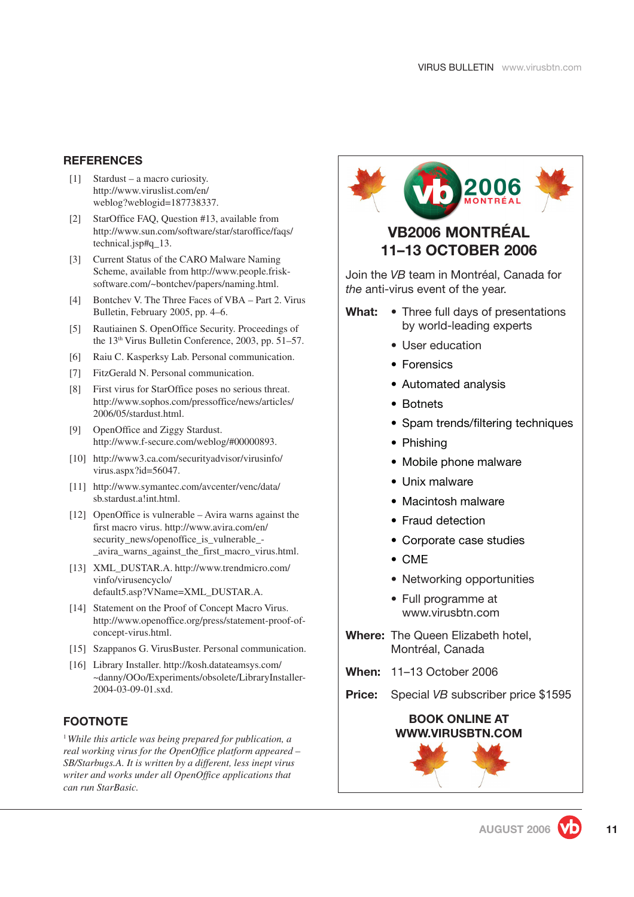#### <span id="page-10-0"></span>**REFERENCES**

- [1] Stardust a macro curiosity. [http://www.viruslist.com/en/](http://www.viruslist.com/en/weblog?weblogid=187738337) [weblog?weblogid=187738337](http://www.viruslist.com/en/weblog?weblogid=187738337).
- [2] StarOffice FAQ, Question #13, available from [http://www.sun.com/software/star/staroffice/faqs/](http://www.sun.com/software/star/staroffice/faqs/technical.jsp#q_13) [technical.jsp#q\\_13.](http://www.sun.com/software/star/staroffice/faqs/technical.jsp#q_13)
- [3] Current Status of the CARO Malware Naming Scheme, available from [http://www.people.frisk](http://www.people.frisk-software.com/~bontchev/papers/naming.html)[software.com/~bontchev/papers/naming.html.](http://www.people.frisk-software.com/~bontchev/papers/naming.html)
- [4] Bontchev V. The Three Faces of VBA Part 2. Virus Bulletin, February 2005, pp. 4–6.
- [5] Rautiainen S. OpenOffice Security. Proceedings of the 13th Virus Bulletin Conference, 2003, pp. 51–57.
- [6] Raiu C. Kasperksy Lab. Personal communication.
- [7] FitzGerald N. Personal communication.
- [8] First virus for StarOffice poses no serious threat. [http://www.sophos.com/pressoffice/news/articles/](http://www.sophos.com/pressoffice/news/articles/2006/05/stardust.html) [2006/05/stardust.html.](http://www.sophos.com/pressoffice/news/articles/2006/05/stardust.html)
- [9] OpenOffice and Ziggy Stardust. [http://www.f-secure.com/weblog/#00000893.](http://www.f-secure.com/weblog/#00000893)
- [10] [http://www3.ca.com/securityadvisor/virusinfo/](http://www3.ca.com/securityadvisor/virusinfo/virus.aspx?id=56047) [virus.aspx?id=56047.](http://www3.ca.com/securityadvisor/virusinfo/virus.aspx?id=56047)
- [11] [http://www.symantec.com/avcenter/venc/data/](http://smallbiz.symantec.com/security_response/writeup.jsp?docid=2006-053116-2722-99&tabid=2) [sb.stardust.a!int.html.](http://smallbiz.symantec.com/security_response/writeup.jsp?docid=2006-053116-2722-99&tabid=2)
- [12] OpenOffice is vulnerable Avira warns against the first macro virus. [http://www.avira.com/en/](http://www.avira.com/en/security_news/openoffice_is_vulnerable_-_avira_warns_against_the_first_macro_virus.html) [security\\_news/openoffice\\_is\\_vulnerable\\_-](http://www.avira.com/en/security_news/openoffice_is_vulnerable_-_avira_warns_against_the_first_macro_virus.html) [\\_avira\\_warns\\_against\\_the\\_first\\_macro\\_virus.html.](http://www.avira.com/en/security_news/openoffice_is_vulnerable_-_avira_warns_against_the_first_macro_virus.html)
- [13] XML\_DUSTAR.A. [http://www.trendmicro.com/](http://www.trendmicro.com/vinfo/virusencyclo/default5.asp?VName=XML_DUSTAR.A) [vinfo/virusencyclo/](http://www.trendmicro.com/vinfo/virusencyclo/default5.asp?VName=XML_DUSTAR.A) [default5.asp?VName=XML\\_DUSTAR.A.](http://www.trendmicro.com/vinfo/virusencyclo/default5.asp?VName=XML_DUSTAR.A)
- [14] Statement on the Proof of Concept Macro Virus. [http://www.openoffice.org/press/statement-proof-of](http://www.openoffice.org/press/statement-proof-of-concept-virus.html)[concept-virus.html.](http://www.openoffice.org/press/statement-proof-of-concept-virus.html)
- [15] Szappanos G. VirusBuster. Personal communication.
- [16] Library Installer. [http://kosh.datateamsys.com/](http://kosh.datateamsys.com/~danny/OOo/Experiments/obsolete/LibraryInstaller-2004-03-09-01.sxd) [~danny/OOo/Experiments/obsolete/LibraryInstaller-](http://kosh.datateamsys.com/~danny/OOo/Experiments/obsolete/LibraryInstaller-2004-03-09-01.sxd)[2004-03-09-01.sxd.](http://kosh.datateamsys.com/~danny/OOo/Experiments/obsolete/LibraryInstaller-2004-03-09-01.sxd)

#### **FOOTNOTE**

<sup>1</sup>*While this article was being prepared for publication, a real working virus for the OpenOffice platform appeared – SB/Starbugs.A. It is written by a different, less inept virus writer and works under all OpenOffice applications that can run StarBasic.*

# 2006 **VB2006 MONTRÉAL**

# **11–13 OCTOBER 2006**

Join the *VB* team in Montréal, Canada for *the* anti-virus event of the year.

- **What:** Three full days of presentations by world-leading experts
	- User education
	- Forensics
	- Automated analysis
	- Botnets
	- Spam trends/filtering techniques
	- Phishing
	- Mobile phone malware
	- Unix malware
	- Macintosh malware
	- Fraud detection
	- Corporate case studies
	- CME
	- Networking opportunities
	- Full programme at [www.virusbtn.com](http://www.virusbtn.com/conference/vb2006/programme/index.xml)
- **Where:** The Queen Elizabeth hotel, Montréal, Canada
- **When:** 11–13 October 2006
- **Price:** Special *VB* subscriber price \$1595

#### **BOOK ONLINE AT [WWW.VIRUSBTN.COM](http://www.virusbtn.com/conference/register/index.xsp?)**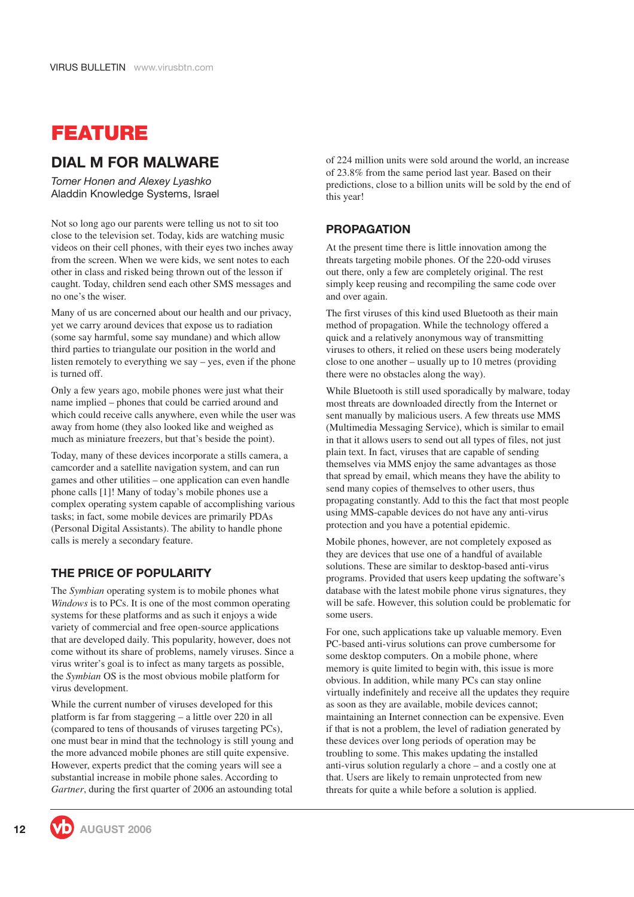# <span id="page-11-0"></span>**FEATURE**

## **DIAL M FOR MALWARE**

*Tomer Honen and Alexey Lyashko* Aladdin Knowledge Systems, Israel

Not so long ago our parents were telling us not to sit too close to the television set. Today, kids are watching music videos on their cell phones, with their eyes two inches away from the screen. When we were kids, we sent notes to each other in class and risked being thrown out of the lesson if caught. Today, children send each other SMS messages and no one's the wiser.

Many of us are concerned about our health and our privacy, yet we carry around devices that expose us to radiation (some say harmful, some say mundane) and which allow third parties to triangulate our position in the world and listen remotely to everything we say – yes, even if the phone is turned off.

Only a few years ago, mobile phones were just what their name implied – phones that could be carried around and which could receive calls anywhere, even while the user was away from home (they also looked like and weighed as much as miniature freezers, but that's beside the point).

Today, many of these devices incorporate a stills camera, a camcorder and a satellite navigation system, and can run games and other utilities – one application can even handle phone calls [\[1\]](#page-13-0)! Many of today's mobile phones use a complex operating system capable of accomplishing various tasks; in fact, some mobile devices are primarily PDAs (Personal Digital Assistants). The ability to handle phone calls is merely a secondary feature.

#### **THE PRICE OF POPULARITY**

The *Symbian* operating system is to mobile phones what *Windows* is to PCs. It is one of the most common operating systems for these platforms and as such it enjoys a wide variety of commercial and free open-source applications that are developed daily. This popularity, however, does not come without its share of problems, namely viruses. Since a virus writer's goal is to infect as many targets as possible, the *Symbian* OS is the most obvious mobile platform for virus development.

While the current number of viruses developed for this platform is far from staggering – a little over 220 in all (compared to tens of thousands of viruses targeting PCs), one must bear in mind that the technology is still young and the more advanced mobile phones are still quite expensive. However, experts predict that the coming years will see a substantial increase in mobile phone sales. According to *Gartner*, during the first quarter of 2006 an astounding total of 224 million units were sold around the world, an increase of 23.8% from the same period last year. Based on their predictions, close to a billion units will be sold by the end of this year!

#### **PROPAGATION**

At the present time there is little innovation among the threats targeting mobile phones. Of the 220-odd viruses out there, only a few are completely original. The rest simply keep reusing and recompiling the same code over and over again.

The first viruses of this kind used Bluetooth as their main method of propagation. While the technology offered a quick and a relatively anonymous way of transmitting viruses to others, it relied on these users being moderately close to one another – usually up to 10 metres (providing there were no obstacles along the way).

While Bluetooth is still used sporadically by malware, today most threats are downloaded directly from the Internet or sent manually by malicious users. A few threats use MMS (Multimedia Messaging Service), which is similar to email in that it allows users to send out all types of files, not just plain text. In fact, viruses that are capable of sending themselves via MMS enjoy the same advantages as those that spread by email, which means they have the ability to send many copies of themselves to other users, thus propagating constantly. Add to this the fact that most people using MMS-capable devices do not have any anti-virus protection and you have a potential epidemic.

Mobile phones, however, are not completely exposed as they are devices that use one of a handful of available solutions. These are similar to desktop-based anti-virus programs. Provided that users keep updating the software's database with the latest mobile phone virus signatures, they will be safe. However, this solution could be problematic for some users.

For one, such applications take up valuable memory. Even PC-based anti-virus solutions can prove cumbersome for some desktop computers. On a mobile phone, where memory is quite limited to begin with, this issue is more obvious. In addition, while many PCs can stay online virtually indefinitely and receive all the updates they require as soon as they are available, mobile devices cannot; maintaining an Internet connection can be expensive. Even if that is not a problem, the level of radiation generated by these devices over long periods of operation may be troubling to some. This makes updating the installed anti-virus solution regularly a chore – and a costly one at that. Users are likely to remain unprotected from new threats for quite a while before a solution is applied.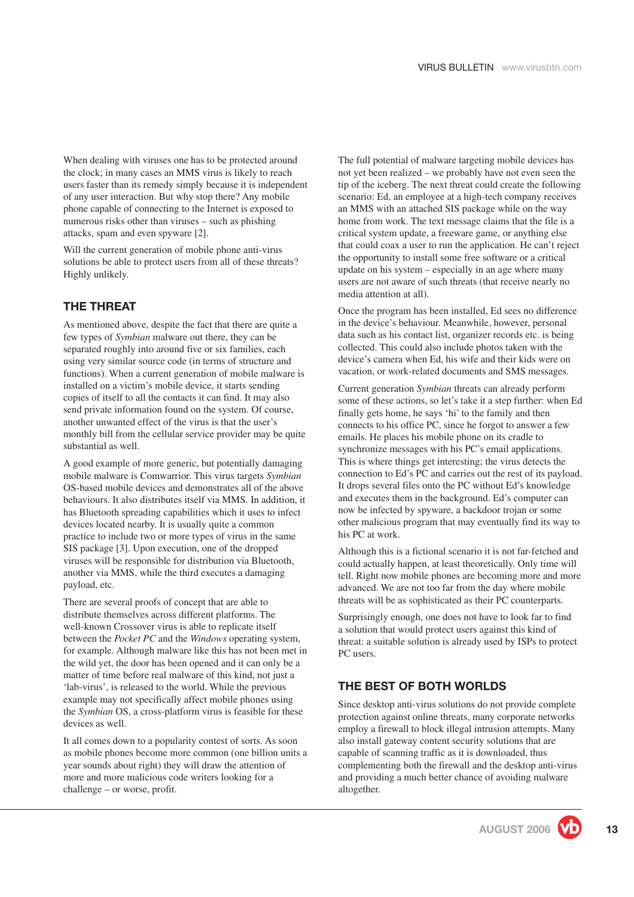When dealing with viruses one has to be protected around the clock; in many cases an MMS virus is likely to reach users faster than its remedy simply because it is independent of any user interaction. But why stop there? Any mobile phone capable of connecting to the Internet is exposed to numerous risks other than viruses – such as phishing attacks, spam and even spywar[e \[2\].](#page-13-0)

Will the current generation of mobile phone anti-virus solutions be able to protect users from all of these threats? Highly unlikely.

#### **THE THREAT**

As mentioned above, despite the fact that there are quite a few types of *Symbian* malware out there, they can be separated roughly into around five or six families, each using very similar source code (in terms of structure and functions). When a current generation of mobile malware is installed on a victim's mobile device, it starts sending copies of itself to all the contacts it can find. It may also send private information found on the system. Of course, another unwanted effect of the virus is that the user's monthly bill from the cellular service provider may be quite substantial as well.

A good example of more generic, but potentially damaging mobile malware is Comwarrior. This virus targets *Symbian* OS-based mobile devices and demonstrates all of the above behaviours. It also distributes itself via MMS. In addition, it has Bluetooth spreading capabilities which it uses to infect devices located nearby. It is usually quite a common practice to include two or more types of virus in the same SIS package [\[3\]](#page-13-0). Upon execution, one of the dropped viruses will be responsible for distribution via Bluetooth, another via MMS, while the third executes a damaging payload, etc.

There are several proofs of concept that are able to distribute themselves across different platforms. The well-known Crossover virus is able to replicate itself between the *Pocket PC* and the *Windows* operating system, for example. Although malware like this has not been met in the wild yet, the door has been opened and it can only be a matter of time before real malware of this kind, not just a 'lab-virus', is released to the world. While the previous example may not specifically affect mobile phones using the *Symbian* OS, a cross-platform virus is feasible for these devices as well.

It all comes down to a popularity contest of sorts. As soon as mobile phones become more common (one billion units a year sounds about right) they will draw the attention of more and more malicious code writers looking for a challenge – or worse, profit.

The full potential of malware targeting mobile devices has not yet been realized – we probably have not even seen the tip of the iceberg. The next threat could create the following scenario: Ed, an employee at a high-tech company receives an MMS with an attached SIS package while on the way home from work. The text message claims that the file is a critical system update, a freeware game, or anything else that could coax a user to run the application. He can't reject the opportunity to install some free software or a critical update on his system – especially in an age where many users are not aware of such threats (that receive nearly no media attention at all).

Once the program has been installed, Ed sees no difference in the device's behaviour. Meanwhile, however, personal data such as his contact list, organizer records etc. is being collected. This could also include photos taken with the device's camera when Ed, his wife and their kids were on vacation, or work-related documents and SMS messages.

Current generation *Symbian* threats can already perform some of these actions, so let's take it a step further: when Ed finally gets home, he says 'hi' to the family and then connects to his office PC, since he forgot to answer a few emails. He places his mobile phone on its cradle to synchronize messages with his PC's email applications. This is where things get interesting; the virus detects the connection to Ed's PC and carries out the rest of its payload. It drops several files onto the PC without Ed's knowledge and executes them in the background. Ed's computer can now be infected by spyware, a backdoor trojan or some other malicious program that may eventually find its way to his PC at work.

Although this is a fictional scenario it is not far-fetched and could actually happen, at least theoretically. Only time will tell. Right now mobile phones are becoming more and more advanced. We are not too far from the day where mobile threats will be as sophisticated as their PC counterparts.

Surprisingly enough, one does not have to look far to find a solution that would protect users against this kind of threat: a suitable solution is already used by ISPs to protect PC users.

#### **THE BEST OF BOTH WORLDS**

Since desktop anti-virus solutions do not provide complete protection against online threats, many corporate networks employ a firewall to block illegal intrusion attempts. Many also install gateway content security solutions that are capable of scanning traffic as it is downloaded, thus complementing both the firewall and the desktop anti-virus and providing a much better chance of avoiding malware altogether.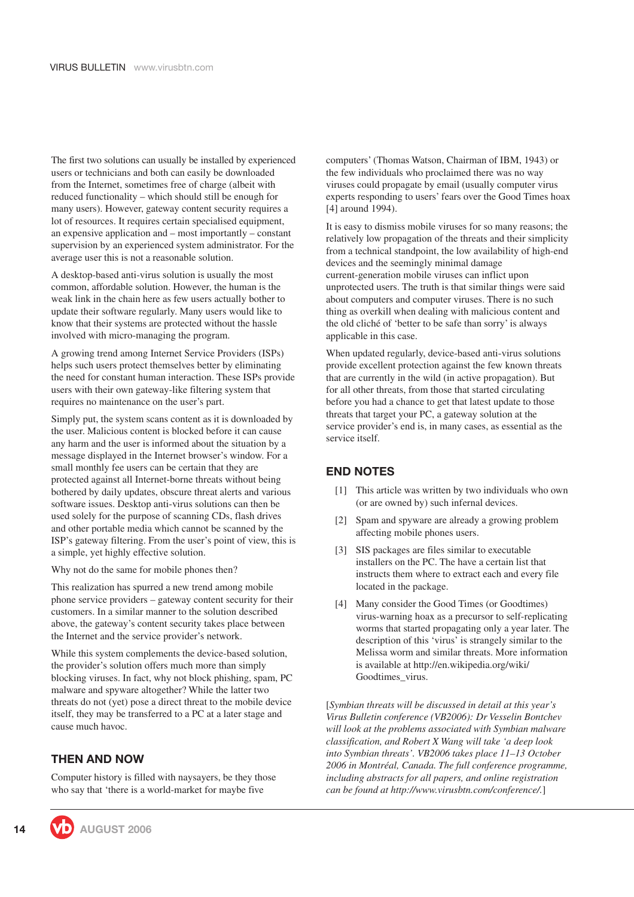<span id="page-13-0"></span>The first two solutions can usually be installed by experienced users or technicians and both can easily be downloaded from the Internet, sometimes free of charge (albeit with reduced functionality – which should still be enough for many users). However, gateway content security requires a lot of resources. It requires certain specialised equipment, an expensive application and – most importantly – constant supervision by an experienced system administrator. For the average user this is not a reasonable solution.

A desktop-based anti-virus solution is usually the most common, affordable solution. However, the human is the weak link in the chain here as few users actually bother to update their software regularly. Many users would like to know that their systems are protected without the hassle involved with micro-managing the program.

A growing trend among Internet Service Providers (ISPs) helps such users protect themselves better by eliminating the need for constant human interaction. These ISPs provide users with their own gateway-like filtering system that requires no maintenance on the user's part.

Simply put, the system scans content as it is downloaded by the user. Malicious content is blocked before it can cause any harm and the user is informed about the situation by a message displayed in the Internet browser's window. For a small monthly fee users can be certain that they are protected against all Internet-borne threats without being bothered by daily updates, obscure threat alerts and various software issues. Desktop anti-virus solutions can then be used solely for the purpose of scanning CDs, flash drives and other portable media which cannot be scanned by the ISP's gateway filtering. From the user's point of view, this is a simple, yet highly effective solution.

Why not do the same for mobile phones then?

This realization has spurred a new trend among mobile phone service providers – gateway content security for their customers. In a similar manner to the solution described above, the gateway's content security takes place between the Internet and the service provider's network.

While this system complements the device-based solution, the provider's solution offers much more than simply blocking viruses. In fact, why not block phishing, spam, PC malware and spyware altogether? While the latter two threats do not (yet) pose a direct threat to the mobile device itself, they may be transferred to a PC at a later stage and cause much havoc.

#### **THEN AND NOW**

Computer history is filled with naysayers, be they those who say that 'there is a world-market for maybe five

computers' (Thomas Watson, Chairman of IBM, 1943) or the few individuals who proclaimed there was no way viruses could propagate by email (usually computer virus experts responding to users' fears over the Good Times hoax [4] around 1994).

It is easy to dismiss mobile viruses for so many reasons; the relatively low propagation of the threats and their simplicity from a technical standpoint, the low availability of high-end devices and the seemingly minimal damage current-generation mobile viruses can inflict upon unprotected users. The truth is that similar things were said about computers and computer viruses. There is no such thing as overkill when dealing with malicious content and the old cliché of 'better to be safe than sorry' is always applicable in this case.

When updated regularly, device-based anti-virus solutions provide excellent protection against the few known threats that are currently in the wild (in active propagation). But for all other threats, from those that started circulating before you had a chance to get that latest update to those threats that target your PC, a gateway solution at the service provider's end is, in many cases, as essential as the service itself.

#### **END NOTES**

- [1] This article was written by two individuals who own (or are owned by) such infernal devices.
- [2] Spam and spyware are already a growing problem affecting mobile phones users.
- [3] SIS packages are files similar to executable installers on the PC. The have a certain list that instructs them where to extract each and every file located in the package.
- [4] Many consider the Good Times (or Goodtimes) virus-warning hoax as a precursor to self-replicating worms that started propagating only a year later. The description of this 'virus' is strangely similar to the Melissa worm and similar threats. More information is available at [http://en.wikipedia.org/wiki/](http://en.wikipedia.org/wiki/Goodtimes_virus) [Goodtimes\\_virus](http://en.wikipedia.org/wiki/Goodtimes_virus).

[*Symbian threats will be discussed in detail at this year's Virus Bulletin conference (VB2006): [Dr Vesselin Bontchev](http://www.virusbtn.com/conference/vb2006/abstracts/Bontchev.xml) [will look at the problems associated with Symbian malware](http://www.virusbtn.com/conference/vb2006/abstracts/Bontchev.xml) classification, and [Robert X Wang will take 'a deep look](http://www.virusbtn.com/conference/vb2006/abstracts/Wang.xml) [into Symbian threats'.](http://www.virusbtn.com/conference/vb2006/abstracts/Wang.xml) VB2006 takes place 11–13 October 2006 in Montréal, Canada. The full conference programme, including abstracts for all papers, and online registration can be found at [http://www.virusbtn.com/conference/.](http://www.virusbtn.com/conference/vb2006/index)*]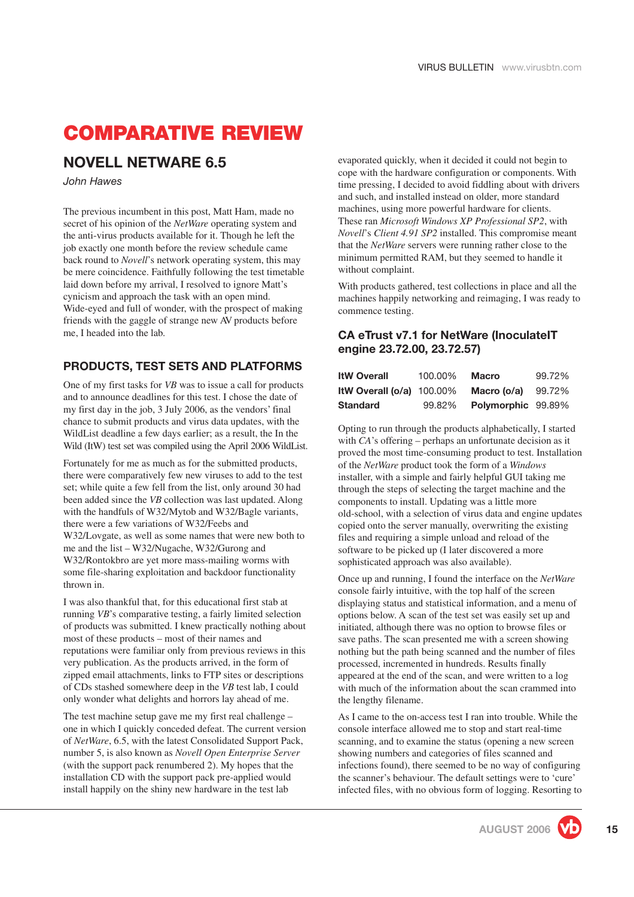# <span id="page-14-0"></span>**COMPARATIVE REVIEW**

#### **NOVELL NETWARE 6.5**

*John Hawes*

The previous incumbent in this post, Matt Ham, made no secret of his opinion of the *NetWare* operating system and the anti-virus products available for it. Though he left the job exactly one month before the review schedule came back round to *Novell*'s network operating system, this may be mere coincidence. Faithfully following the test timetable laid down before my arrival, I resolved to ignore Matt's cynicism and approach the task with an open mind. Wide-eyed and full of wonder, with the prospect of making friends with the gaggle of strange new AV products before me, I headed into the lab.

#### **PRODUCTS, TEST SETS AND PLATFORMS**

One of my first tasks for *VB* was to issue a call for products and to announce deadlines for this test. I chose the date of my first day in the job, 3 July 2006, as the vendors' final chance to submit products and virus data updates, with the WildList deadline a few days earlier; as a result, the In the Wild (ItW) test set was compiled using the April 2006 WildList.

Fortunately for me as much as for the submitted products, there were comparatively few new viruses to add to the test set; while quite a few fell from the list, only around 30 had been added since the *VB* collection was last updated. Along with the handfuls of W32/Mytob and W32/Bagle variants, there were a few variations of W32/Feebs and W32/Lovgate, as well as some names that were new both to me and the list – W32/Nugache, W32/Gurong and W32/Rontokbro are yet more mass-mailing worms with some file-sharing exploitation and backdoor functionality thrown in.

I was also thankful that, for this educational first stab at running *VB*'s comparative testing, a fairly limited selection of products was submitted. I knew practically nothing about most of these products – most of their names and reputations were familiar only from previous reviews in this very publication. As the products arrived, in the form of zipped email attachments, links to FTP sites or descriptions of CDs stashed somewhere deep in the *VB* test lab, I could only wonder what delights and horrors lay ahead of me.

The test machine setup gave me my first real challenge – one in which I quickly conceded defeat. The current version of *NetWare*, 6.5, with the latest Consolidated Support Pack, number 5, is also known as *Novell Open Enterprise Server* (with the support pack renumbered 2). My hopes that the installation CD with the support pack pre-applied would install happily on the shiny new hardware in the test lab

evaporated quickly, when it decided it could not begin to cope with the hardware configuration or components. With time pressing, I decided to avoid fiddling about with drivers and such, and installed instead on older, more standard machines, using more powerful hardware for clients. These ran *Microsoft Windows XP Professional SP2*, with *Novell*'s *Client 4.91 SP2* installed. This compromise meant that the *NetWare* servers were running rather close to the minimum permitted RAM, but they seemed to handle it without complaint.

With products gathered, test collections in place and all the machines happily networking and reimaging, I was ready to commence testing.

#### **CA eTrust v7.1 for NetWare (InoculateIT engine 23.72.00, 23.72.57)**

| <b>ItW Overall</b>          | 100.00% | <b>Macro</b>       | 99.72% |
|-----------------------------|---------|--------------------|--------|
| ItW Overall $(o/a)$ 100.00% |         | Macro (o/a)        | 99.72% |
| <b>Standard</b>             | 99.82%  | Polymorphic 99.89% |        |

Opting to run through the products alphabetically, I started with *CA*'s offering – perhaps an unfortunate decision as it proved the most time-consuming product to test. Installation of the *NetWare* product took the form of a *Windows* installer, with a simple and fairly helpful GUI taking me through the steps of selecting the target machine and the components to install. Updating was a little more old-school, with a selection of virus data and engine updates copied onto the server manually, overwriting the existing files and requiring a simple unload and reload of the software to be picked up (I later discovered a more sophisticated approach was also available).

Once up and running, I found the interface on the *NetWare* console fairly intuitive, with the top half of the screen displaying status and statistical information, and a menu of options below. A scan of the test set was easily set up and initiated, although there was no option to browse files or save paths. The scan presented me with a screen showing nothing but the path being scanned and the number of files processed, incremented in hundreds. Results finally appeared at the end of the scan, and were written to a log with much of the information about the scan crammed into the lengthy filename.

As I came to the on-access test I ran into trouble. While the console interface allowed me to stop and start real-time scanning, and to examine the status (opening a new screen showing numbers and categories of files scanned and infections found), there seemed to be no way of configuring the scanner's behaviour. The default settings were to 'cure' infected files, with no obvious form of logging. Resorting to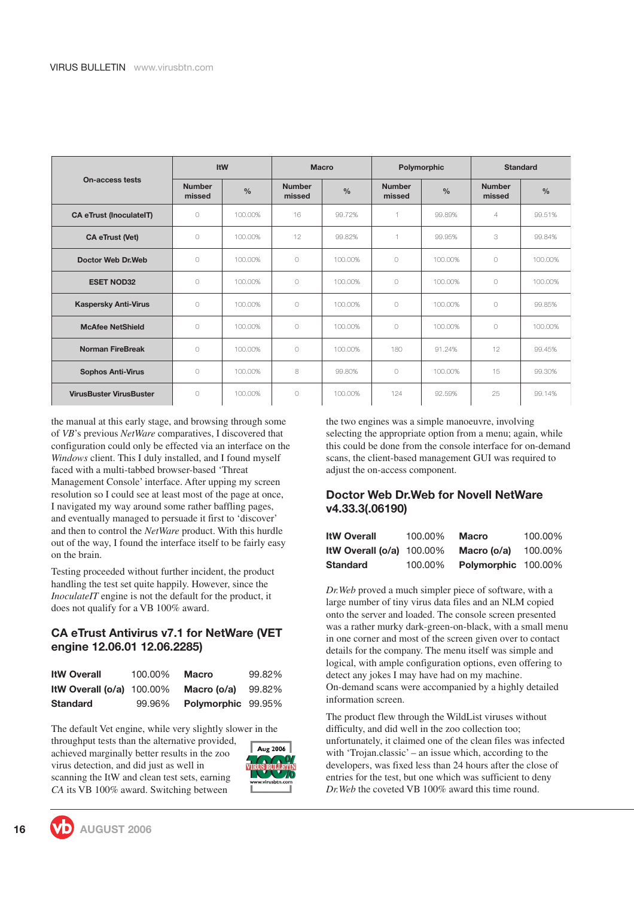|                                |                         | <b>ItW</b>    |                         | <b>Macro</b>  | Polymorphic             |               |                         | <b>Standard</b> |
|--------------------------------|-------------------------|---------------|-------------------------|---------------|-------------------------|---------------|-------------------------|-----------------|
| <b>On-access tests</b>         | <b>Number</b><br>missed | $\frac{0}{0}$ | <b>Number</b><br>missed | $\frac{0}{0}$ | <b>Number</b><br>missed | $\frac{0}{0}$ | <b>Number</b><br>missed | $\frac{0}{0}$   |
| <b>CA eTrust (InoculateIT)</b> | 0                       | 100,00%       | 16                      | 99.72%        | 1                       | 99.89%        | $\overline{4}$          | 99.51%          |
| <b>CA eTrust (Vet)</b>         | $\bigcap$               | 100,00%       | 12                      | 99.82%        | 1                       | 99.95%        | 3                       | 99.84%          |
| Doctor Web Dr. Web             | $\circ$                 | 100,00%       | $\circ$                 | 100.00%       | $\circ$                 | 100.00%       | 0                       | 100.00%         |
| <b>ESET NOD32</b>              | 0                       | 100,00%       | $\bigcirc$              | 100.00%       | 0                       | 100.00%       | $\bigcirc$              | 100.00%         |
| <b>Kaspersky Anti-Virus</b>    | 0                       | 100,00%       | $\circ$                 | 100.00%       | 0                       | 100.00%       | $\bigcirc$              | 99.85%          |
| <b>McAfee NetShield</b>        | 0                       | 100,00%       | $\circ$                 | 100.00%       | 0                       | 100.00%       | $\bigcap$               | 100.00%         |
| <b>Norman FireBreak</b>        | $\bigcirc$              | 100,00%       | $\bigcap$               | 100.00%       | 180                     | 91.24%        | 12                      | 99.45%          |
| <b>Sophos Anti-Virus</b>       | 0                       | 100,00%       | 8                       | 99.80%        | 0                       | 100.00%       | 15                      | 99.30%          |
| <b>VirusBuster VirusBuster</b> | $\bigcirc$              | 100,00%       | $\bigcirc$              | 100.00%       | 124                     | 92.59%        | 25                      | 99.14%          |

the manual at this early stage, and browsing through some of *VB*'s previous *NetWare* comparatives, I discovered that configuration could only be effected via an interface on the *Windows* client. This I duly installed, and I found myself faced with a multi-tabbed browser-based 'Threat Management Console' interface. After upping my screen resolution so I could see at least most of the page at once, I navigated my way around some rather baffling pages, and eventually managed to persuade it first to 'discover' and then to control the *NetWare* product. With this hurdle out of the way, I found the interface itself to be fairly easy on the brain.

Testing proceeded without further incident, the product handling the test set quite happily. However, since the *InoculateIT* engine is not the default for the product, it does not qualify for a VB 100% award.

#### **CA eTrust Antivirus v7.1 for NetWare (VET engine 12.06.01 12.06.2285)**

| <b>ItW Overall</b>          | 100.00% | <b>Macro</b>       | 99.82% |
|-----------------------------|---------|--------------------|--------|
| ItW Overall $(o/a)$ 100.00% |         | Macro (o/a)        | 99.82% |
| <b>Standard</b>             | 99.96%  | Polymorphic 99.95% |        |

The default Vet engine, while very slightly slower in the

throughput tests than the alternative provided, achieved marginally better results in the zoo virus detection, and did just as well in scanning the ItW and clean test sets, earning *CA* its VB 100% award. Switching between



the two engines was a simple manoeuvre, involving selecting the appropriate option from a menu; again, while this could be done from the console interface for on-demand scans, the client-based management GUI was required to adjust the on-access component.

#### **Doctor Web Dr.Web for Novell NetWare v4.33.3(.06190)**

| <b>ItW Overall</b>          | 100.00% | <b>Macro</b>               | 100.00% |
|-----------------------------|---------|----------------------------|---------|
| ItW Overall $(o/a)$ 100.00% |         | Macro (o/a)                | 100.00% |
| <b>Standard</b>             | 100.00% | <b>Polymorphic 100.00%</b> |         |

*Dr.Web* proved a much simpler piece of software, with a large number of tiny virus data files and an NLM copied onto the server and loaded. The console screen presented was a rather murky dark-green-on-black, with a small menu in one corner and most of the screen given over to contact details for the company. The menu itself was simple and logical, with ample configuration options, even offering to detect any jokes I may have had on my machine. On-demand scans were accompanied by a highly detailed information screen.

The product flew through the WildList viruses without difficulty, and did well in the zoo collection too; unfortunately, it claimed one of the clean files was infected with 'Trojan.classic' – an issue which, according to the developers, was fixed less than 24 hours after the close of entries for the test, but one which was sufficient to deny *Dr.Web* the coveted VB 100% award this time round.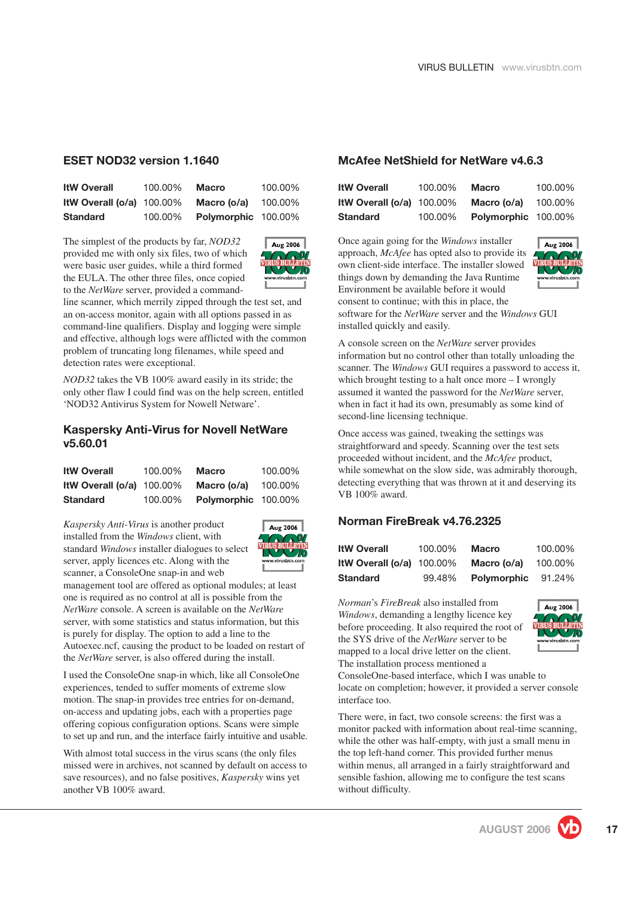#### **ESET NOD32 version 1.1640**

| <b>ItW Overall</b>          | 100.00% | <b>Macro</b>        | 100.00% |
|-----------------------------|---------|---------------------|---------|
| ItW Overall $(o/a)$ 100.00% |         | Macro (o/a)         | 100.00% |
| <b>Standard</b>             | 100.00% | Polymorphic 100.00% |         |

The simplest of the products by far, *NOD32* provided me with only six files, two of which were basic user guides, while a third formed the EULA. The other three files, once copied to the *NetWare* server, provided a command-



line scanner, which merrily zipped through the test set, and an on-access monitor, again with all options passed in as command-line qualifiers. Display and logging were simple and effective, although logs were afflicted with the common problem of truncating long filenames, while speed and detection rates were exceptional.

*NOD32* takes the VB 100% award easily in its stride; the only other flaw I could find was on the help screen, entitled 'NOD32 Antivirus System for Nowell Netware'.

#### **Kaspersky Anti-Virus for Novell NetWare v5.60.01**

| <b>ItW Overall</b>          | 100.00% | Macro               | 100.00% |
|-----------------------------|---------|---------------------|---------|
| ItW Overall $(o/a)$ 100.00% |         | Macro (o/a)         | 100.00% |
| <b>Standard</b>             | 100.00% | Polymorphic 100.00% |         |

*Kaspersky Anti-Virus* is another product installed from the *Windows* client, with standard *Windows* installer dialogues to select server, apply licences etc. Along with the scanner, a ConsoleOne snap-in and web



management tool are offered as optional modules; at least one is required as no control at all is possible from the *NetWare* console. A screen is available on the *NetWare* server, with some statistics and status information, but this is purely for display. The option to add a line to the Autoexec.ncf, causing the product to be loaded on restart of the *NetWare* server, is also offered during the install.

I used the ConsoleOne snap-in which, like all ConsoleOne experiences, tended to suffer moments of extreme slow motion. The snap-in provides tree entries for on-demand, on-access and updating jobs, each with a properties page offering copious configuration options. Scans were simple to set up and run, and the interface fairly intuitive and usable.

With almost total success in the virus scans (the only files missed were in archives, not scanned by default on access to save resources), and no false positives, *Kaspersky* wins yet another VB 100% award.

#### **McAfee NetShield for NetWare v4.6.3**

| <b>ItW Overall</b>          | 100.00% | Macro                      | 100.00% |
|-----------------------------|---------|----------------------------|---------|
| ItW Overall $(o/a)$ 100.00% |         | Macro (o/a)                | 100.00% |
| <b>Standard</b>             | 100.00% | <b>Polymorphic 100.00%</b> |         |

Once again going for the *Windows* installer approach, *McAfee* has opted also to provide its own client-side interface. The installer slowed things down by demanding the Java Runtime Environment be available before it would consent to continue; with this in place, the software for the *NetWare* server and the *Windows* GUI installed quickly and easily.



A console screen on the *NetWare* server provides information but no control other than totally unloading the scanner. The *Windows* GUI requires a password to access it, which brought testing to a halt once more – I wrongly assumed it wanted the password for the *NetWare* server, when in fact it had its own, presumably as some kind of second-line licensing technique.

Once access was gained, tweaking the settings was straightforward and speedy. Scanning over the test sets proceeded without incident, and the *McAfee* product, while somewhat on the slow side, was admirably thorough, detecting everything that was thrown at it and deserving its VB 100% award.

#### **Norman FireBreak v4.76.2325**

| <b>ItW Overall</b>          | 100.00% | <b>Macro</b> | 100.00% |
|-----------------------------|---------|--------------|---------|
| ItW Overall $(o/a)$ 100.00% |         | Macro (o/a)  | 100.00% |
| <b>Standard</b>             | 99.48%  | Polymorphic  | 91.24%  |

*Norman*'s *FireBreak* also installed from *Windows*, demanding a lengthy licence key before proceeding. It also required the root of the SYS drive of the *NetWare* server to be mapped to a local drive letter on the client. The installation process mentioned a



ConsoleOne-based interface, which I was unable to locate on completion; however, it provided a server console interface too.

There were, in fact, two console screens: the first was a monitor packed with information about real-time scanning, while the other was half-empty, with just a small menu in the top left-hand corner. This provided further menus within menus, all arranged in a fairly straightforward and sensible fashion, allowing me to configure the test scans without difficulty.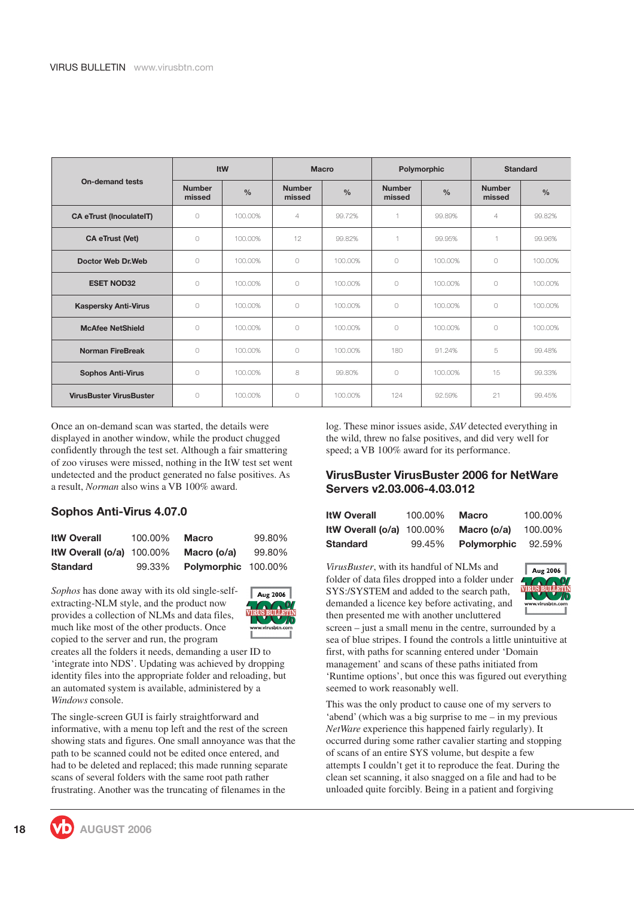|                                | <b>ItW</b>              |               |                         | <b>Macro</b>  |                         | Polymorphic   | <b>Standard</b>         |               |  |
|--------------------------------|-------------------------|---------------|-------------------------|---------------|-------------------------|---------------|-------------------------|---------------|--|
| <b>On-demand tests</b>         | <b>Number</b><br>missed | $\frac{0}{0}$ | <b>Number</b><br>missed | $\frac{0}{0}$ | <b>Number</b><br>missed | $\frac{0}{0}$ | <b>Number</b><br>missed | $\frac{0}{0}$ |  |
| <b>CA eTrust (InoculateIT)</b> | $\bigcirc$              | 100.00%       | $\overline{4}$          | 99.72%        |                         | 99.89%        | $\overline{4}$          | 99.82%        |  |
| <b>CA eTrust (Vet)</b>         | $\bigcirc$              | 100.00%       | 12                      | 99.82%        |                         | 99.95%        |                         | 99.96%        |  |
| Doctor Web Dr. Web             | $\bigcirc$              | 100.00%       | $\circ$                 | 100.00%       | $\circ$                 | 100.00%       | $\bigcirc$              | 100.00%       |  |
| <b>ESET NOD32</b>              | $\bigcap$               | 100.00%       | $\circ$                 | 100.00%       | $\circ$                 | 100.00%       | $\bigcirc$              | 100.00%       |  |
| <b>Kaspersky Anti-Virus</b>    | $\bigcirc$              | 100.00%       | $\bigcap$               | 100.00%       | $\bigcap$               | 100.00%       | $\bigcirc$              | 100.00%       |  |
| <b>McAfee NetShield</b>        | $\bigcirc$              | 100.00%       | $\bigcirc$              | 100,00%       | $\circ$                 | 100.00%       | $\bigcirc$              | 100.00%       |  |
| <b>Norman FireBreak</b>        | 0                       | 100.00%       | $\circ$                 | 100,00%       | 180                     | 91.24%        | 5                       | 99.48%        |  |
| <b>Sophos Anti-Virus</b>       | $\bigcap$               | 100.00%       | 8                       | 99.80%        | $\bigcap$               | 100.00%       | 15                      | 99.33%        |  |
| <b>VirusBuster VirusBuster</b> | $\bigcirc$              | 100.00%       | $\circ$                 | 100,00%       | 124                     | 92.59%        | 21                      | 99.45%        |  |

Once an on-demand scan was started, the details were displayed in another window, while the product chugged confidently through the test set. Although a fair smattering of zoo viruses were missed, nothing in the ItW test set went undetected and the product generated no false positives. As a result, *Norman* also wins a VB 100% award.

#### **Sophos Anti-Virus 4.07.0**

| <b>ItW Overall</b>          | 100.00% | Macro               | 99.80% |
|-----------------------------|---------|---------------------|--------|
| ItW Overall $(o/a)$ 100.00% |         | Macro (o/a)         | 99.80% |
| <b>Standard</b>             | 99.33%  | Polymorphic 100.00% |        |

*Sophos* has done away with its old single-selfextracting-NLM style, and the product now provides a collection of NLMs and data files, much like most of the other products. Once copied to the server and run, the program



creates all the folders it needs, demanding a user ID to 'integrate into NDS'. Updating was achieved by dropping identity files into the appropriate folder and reloading, but an automated system is available, administered by a *Windows* console.

The single-screen GUI is fairly straightforward and informative, with a menu top left and the rest of the screen showing stats and figures. One small annoyance was that the path to be scanned could not be edited once entered, and had to be deleted and replaced; this made running separate scans of several folders with the same root path rather frustrating. Another was the truncating of filenames in the

log. These minor issues aside, *SAV* detected everything in the wild, threw no false positives, and did very well for speed; a VB 100% award for its performance.

#### **VirusBuster VirusBuster 2006 for NetWare Servers v2.03.006-4.03.012**

| <b>ItW Overall</b>          | 100.00% | <b>Macro</b>       | 100.00% |
|-----------------------------|---------|--------------------|---------|
| ItW Overall $(o/a)$ 100.00% |         | Macro (o/a)        | 100.00% |
| <b>Standard</b>             | 99.45%  | <b>Polymorphic</b> | 92.59%  |

*VirusBuster*, with its handful of NLMs and folder of data files dropped into a folder under SYS:/SYSTEM and added to the search path, demanded a licence key before activating, and then presented me with another uncluttered



screen – just a small menu in the centre, surrounded by a sea of blue stripes. I found the controls a little unintuitive at first, with paths for scanning entered under 'Domain management' and scans of these paths initiated from 'Runtime options', but once this was figured out everything seemed to work reasonably well.

This was the only product to cause one of my servers to 'abend' (which was a big surprise to me – in my previous *NetWare* experience this happened fairly regularly). It occurred during some rather cavalier starting and stopping of scans of an entire SYS volume, but despite a few attempts I couldn't get it to reproduce the feat. During the clean set scanning, it also snagged on a file and had to be unloaded quite forcibly. Being in a patient and forgiving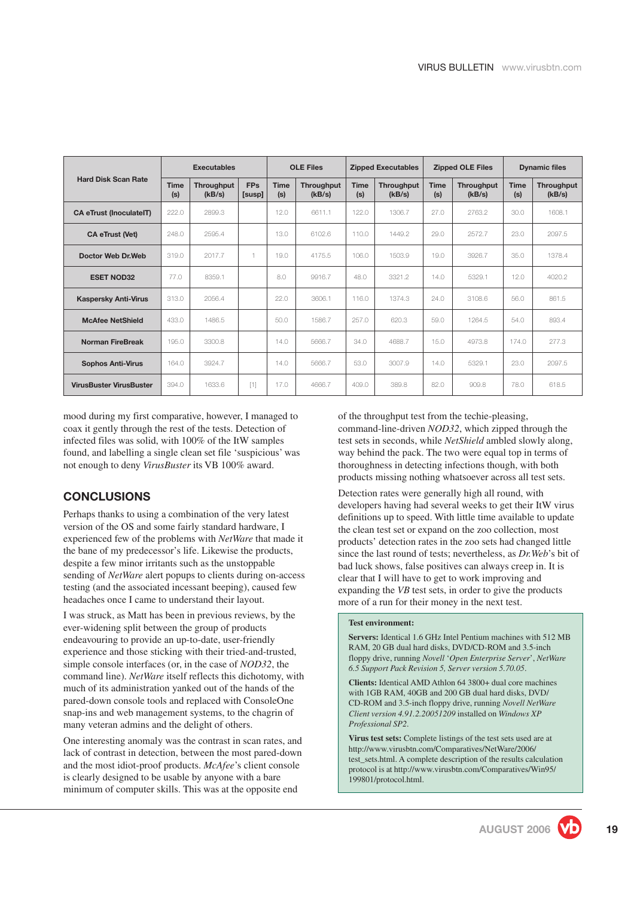|                                | <b>Executables</b> |                      | <b>OLE Files</b>     |                    | <b>Zipped Executables</b> |                    | <b>Zipped OLE Files</b> |                    | <b>Dynamic files</b> |                    |                      |
|--------------------------------|--------------------|----------------------|----------------------|--------------------|---------------------------|--------------------|-------------------------|--------------------|----------------------|--------------------|----------------------|
| <b>Hard Disk Scan Rate</b>     | <b>Time</b><br>(s) | Throughput<br>(kB/s) | <b>FPs</b><br>[susp] | <b>Time</b><br>(s) | Throughput<br>(kB/s)      | <b>Time</b><br>(s) | Throughput<br>(kB/s)    | <b>Time</b><br>(s) | Throughput<br>(kB/s) | <b>Time</b><br>(s) | Throughput<br>(kB/s) |
| <b>CA eTrust (InoculateIT)</b> | 222.0              | 2899.3               |                      | 12.0               | 6611.1                    | 122.0              | 1306.7                  | 27.0               | 2763.2               | 30.0               | 1608.1               |
| <b>CA eTrust (Vet)</b>         | 248.0              | 2595.4               |                      | 13.0               | 6102.6                    | 110.0              | 1449.2                  | 29.0               | 2572.7               | 23.0               | 2097.5               |
| Doctor Web Dr. Web             | 319.0              | 2017.7               | $\overline{1}$       | 19.0               | 4175.5                    | 106.0              | 1503.9                  | 19.0               | 3926.7               | 35.0               | 1378.4               |
| <b>ESET NOD32</b>              | 77.0               | 8359.1               |                      | 8.0                | 9916.7                    | 48.0               | 3321.2                  | 14.0               | 5329.1               | 12.0               | 4020.2               |
| <b>Kaspersky Anti-Virus</b>    | 313.0              | 2056.4               |                      | 22.0               | 3606.1                    | 116.0              | 1374.3                  | 24.0               | 3108.6               | 56.0               | 861.5                |
| <b>McAfee NetShield</b>        | 433.0              | 1486.5               |                      | 50.0               | 1586.7                    | 257.0              | 620.3                   | 59.0               | 1264.5               | 54.0               | 893.4                |
| <b>Norman FireBreak</b>        | 195.0              | 3300.8               |                      | 14.0               | 5666.7                    | 34.0               | 4688.7                  | 15.0               | 4973.8               | 174.0              | 277.3                |
| <b>Sophos Anti-Virus</b>       | 164.0              | 3924.7               |                      | 14.0               | 5666.7                    | 53.0               | 3007.9                  | 14.0               | 5329.1               | 23.0               | 2097.5               |
| <b>VirusBuster VirusBuster</b> | 394.0              | 1633.6               | $[1]$                | 17.0               | 4666.7                    | 409.0              | 389.8                   | 82.0               | 909.8                | 78.0               | 618.5                |

mood during my first comparative, however, I managed to coax it gently through the rest of the tests. Detection of infected files was solid, with 100% of the ItW samples found, and labelling a single clean set file 'suspicious' was not enough to deny *VirusBuster* its VB 100% award.

#### **CONCLUSIONS**

Perhaps thanks to using a combination of the very latest version of the OS and some fairly standard hardware, I experienced few of the problems with *NetWare* that made it the bane of my predecessor's life. Likewise the products, despite a few minor irritants such as the unstoppable sending of *NetWare* alert popups to clients during on-access testing (and the associated incessant beeping), caused few headaches once I came to understand their layout.

I was struck, as Matt has been in previous reviews, by the ever-widening split between the group of products endeavouring to provide an up-to-date, user-friendly experience and those sticking with their tried-and-trusted, simple console interfaces (or, in the case of *NOD32*, the command line). *NetWare* itself reflects this dichotomy, with much of its administration yanked out of the hands of the pared-down console tools and replaced with ConsoleOne snap-ins and web management systems, to the chagrin of many veteran admins and the delight of others.

One interesting anomaly was the contrast in scan rates, and lack of contrast in detection, between the most pared-down and the most idiot-proof products. *McAfee*'s client console is clearly designed to be usable by anyone with a bare minimum of computer skills. This was at the opposite end

of the throughput test from the techie-pleasing, command-line-driven *NOD32*, which zipped through the test sets in seconds, while *NetShield* ambled slowly along, way behind the pack. The two were equal top in terms of thoroughness in detecting infections though, with both products missing nothing whatsoever across all test sets.

Detection rates were generally high all round, with developers having had several weeks to get their ItW virus definitions up to speed. With little time available to update the clean test set or expand on the zoo collection, most products' detection rates in the zoo sets had changed little since the last round of tests; nevertheless, as *Dr.Web*'s bit of bad luck shows, false positives can always creep in. It is clear that I will have to get to work improving and expanding the *VB* test sets, in order to give the products more of a run for their money in the next test.

#### **Test environment:**

**Servers:** Identical 1.6 GHz Intel Pentium machines with 512 MB RAM, 20 GB dual hard disks, DVD/CD-ROM and 3.5-inch floppy drive, running *Novell* '*Open Enterprise Server*', *NetWare 6.5 Support Pack Revision 5, Server version 5.70.05*.

**Clients:** Identical AMD Athlon 64 3800+ dual core machines with 1GB RAM, 40GB and 200 GB dual hard disks, DVD/ CD-ROM and 3.5-inch floppy drive, running *Novell NetWare Client version 4.91.2.20051209* installed on *Windows XP Professional SP2*.

**Virus test sets:** Complete listings of the test sets used are at [http://www.virusbtn.com/Comparatives/NetWare/2006/](http://www.virusbtn.com/Comparatives/NetWare/2006/test_sets.html) [test\\_sets.html.](http://www.virusbtn.com/Comparatives/NetWare/2006/test_sets.html) A complete description of the results calculation protocol is a[t http://www.virusbtn.com/Comparatives/Win95/](http://www.virusbtn.com/Comparatives/Win95/199801/protocol.html) [199801/protocol.html.](http://www.virusbtn.com/Comparatives/Win95/199801/protocol.html)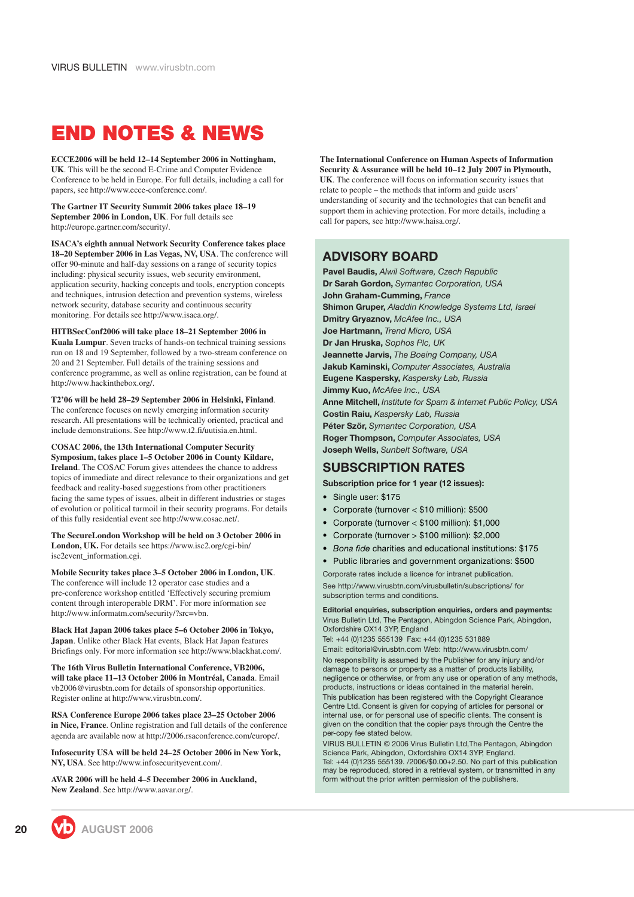# <span id="page-19-0"></span>**END NOTES & NEWS**

**ECCE2006 will be held 12–14 September 2006 in Nottingham, UK**. This will be the second E-Crime and Computer Evidence Conference to be held in Europe. For full details, including a call for papers, see [http://www.ecce-conference.com/.](http://www.ecce-conference.com/)

**The Gartner IT Security Summit 2006 takes place 18–19 September 2006 in London, UK**. For full details see [http://europe.gartner.com/security/.](http://europe.gartner.com/security/)

**ISACA's eighth annual Network Security Conference takes place 18–20 September 2006 in Las Vegas, NV, USA**. The conference will offer 90-minute and half-day sessions on a range of security topics including: physical security issues, web security environment, application security, hacking concepts and tools, encryption concepts and techniques, intrusion detection and prevention systems, wireless network security, database security and continuous security monitoring. For details see [http://www.isaca.org/.](http://www.isaca.org/)

#### **HITBSecConf2006 will take place 18–21 September 2006 in**

**Kuala Lumpur**. Seven tracks of hands-on technical training sessions run on 18 and 19 September, followed by a two-stream conference on 20 and 21 September. Full details of the training sessions and conference programme, as well as online registration, can be found at <http://www.hackinthebox.org/>.

**T2'06 will be held 28–29 September 2006 in Helsinki, Finland**. The conference focuses on newly emerging information security research. All presentations will be technically oriented, practical and include demonstrations. See [http://www.t2.fi/uutisia.en.html.](http://www.t2.fi/uutisia.en.html)

**COSAC 2006, the 13th International Computer Security Symposium, takes place 1–5 October 2006 in County Kildare, Ireland**. The COSAC Forum gives attendees the chance to address topics of immediate and direct relevance to their organizations and get feedback and reality-based suggestions from other practitioners facing the same types of issues, albeit in different industries or stages of evolution or political turmoil in their security programs. For details of this fully residential event see [http://www.cosac.net/.](http://www.cosac.net/)

**The SecureLondon Workshop will be held on 3 October 2006 in London, UK.** For details see [https://www.isc2.org/cgi-bin/](https://www.isc2.org/cgi-bin/isc2event_information.cgi) [isc2event\\_information.cgi.](https://www.isc2.org/cgi-bin/isc2event_information.cgi)

**Mobile Security takes place 3–5 October 2006 in London, UK**. The conference will include 12 operator case studies and a pre-conference workshop entitled 'Effectively securing premium content through interoperable DRM'. For more information see [http://www.informatm.com/security/?src=vbn.](http://www.informatm.com/security/?src=vbn)

**Black Hat Japan 2006 takes place 5–6 October 2006 in Tokyo, Japan**. Unlike other Black Hat events, Black Hat Japan features Briefings only. For more information see [http://www.blackhat.com/.](http://www.blackhat.com/)

**The 16th Virus Bulletin International Conference, VB2006, will take place 11–13 October 2006 in Montréal, Canada**. Email vb2006@virusbtn.com for details of sponsorship opportunities. Register online at [http://www.virusbtn.com/.](http://www.virusbtn.com/conference/register/index)

**RSA Conference Europe 2006 takes place 23–25 October 2006 in Nice, France**. Online registration and full details of the conference agenda are available now at [http://2006.rsaconference.com/europe/.](http://2006.rsaconference.com/europe/)

**Infosecurity USA will be held 24–25 October 2006 in New York, NY, USA**. Se[e http://www.infosecurityevent.com/.](http://www.infosecurityevent.com/)

**AVAR 2006 will be held 4–5 December 2006 in Auckland, New Zealand**. Se[e http://www.aavar.org/.](http://www.aavar.org/)

**The International Conference on Human Aspects of Information Security & Assurance will be held 10–12 July 2007 in Plymouth, UK**. The conference will focus on information security issues that relate to people – the methods that inform and guide users' understanding of security and the technologies that can benefit and support them in achieving protection. For more details, including a call for papers, see [http://www.haisa.org/.](http://www.haisa.org/)

#### **ADVISORY BOARD**

**Pavel Baudis,** *Alwil Software, Czech Republic* **Dr Sarah Gordon,** *Symantec Corporation, USA* **John Graham-Cumming,** *France* **Shimon Gruper,** *Aladdin Knowledge Systems Ltd, Israel* **Dmitry Gryaznov,** *McAfee Inc., USA* **Joe Hartmann,** *Trend Micro, USA* **Dr Jan Hruska,** *Sophos Plc, UK* **Jeannette Jarvis,** *The Boeing Company, USA* **Jakub Kaminski,** *Computer Associates, Australia* **Eugene Kaspersky,** *Kaspersky Lab, Russia* **Jimmy Kuo,** *McAfee Inc., USA* **Anne Mitchell,** *Institute for Spam & Internet Public Policy, USA* **Costin Raiu,** *Kaspersky Lab, Russia* **Péter Ször,** *Symantec Corporation, USA* **Roger Thompson,** *Computer Associates, USA* **Joseph Wells,** *Sunbelt Software, USA*

#### **SUBSCRIPTION RATES**

**Subscription price for 1 year (12 issues):**

- Single user: \$175
- Corporate (turnover < \$10 million): \$500
- Corporate (turnover < \$100 million): \$1,000
- Corporate (turnover > \$100 million): \$2,000
- *Bona fide* charities and educational institutions: \$175
- Public libraries and government organizations: \$500

Corporate rates include a licence for intranet publication. See [http://www.virusbtn.com/virusbulletin/subscriptions/](http://www.virusbtn.com/virusbulletin/subscriptions/index) for subscription terms and conditions.

**Editorial enquiries, subscription enquiries, orders and payments:** Virus Bulletin Ltd, The Pentagon, Abingdon Science Park, Abingdon, Oxfordshire OX14 3YP, England

Tel: +44 (0)1235 555139 Fax: +44 (0)1235 531889 Email: editorial@virusbtn.com Web: <http://www.virusbtn.com/>

No responsibility is assumed by the Publisher for any injury and/or damage to persons or property as a matter of products liability, negligence or otherwise, or from any use or operation of any methods, products, instructions or ideas contained in the material herein. This publication has been registered with the Copyright Clearance Centre Ltd. Consent is given for copying of articles for personal or internal use, or for personal use of specific clients. The consent is given on the condition that the copier pays through the Centre the per-copy fee stated below.

VIRUS BULLETIN © 2006 Virus Bulletin Ltd,The Pentagon, Abingdon Science Park, Abingdon, Oxfordshire OX14 3YP, England. Tel: +44 (0)1235 555139. /2006/\$0.00+2.50. No part of this publication may be reproduced, stored in a retrieval system, or transmitted in any form without the prior written permission of the publishers.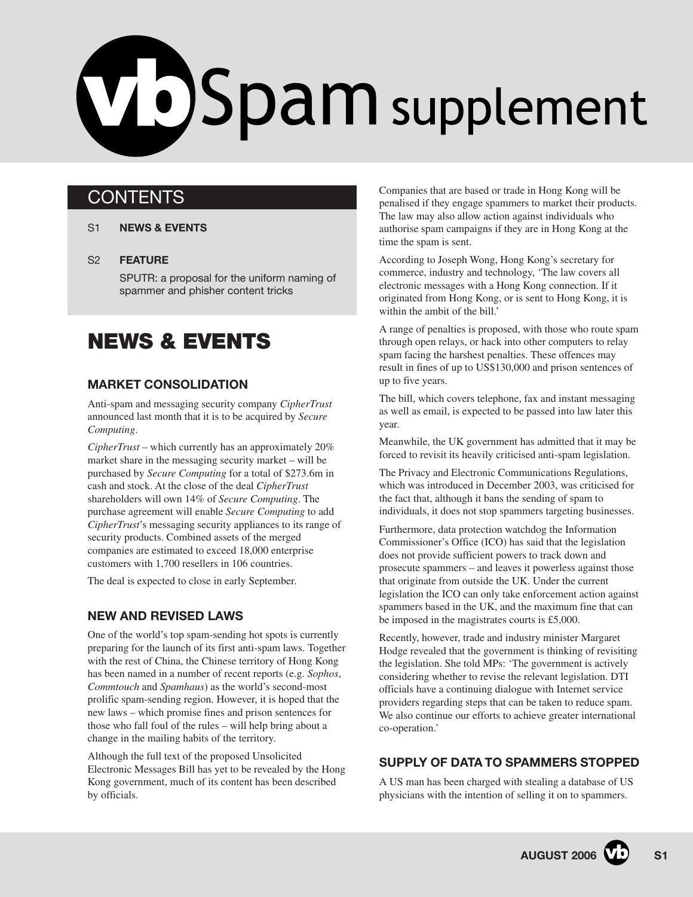# <span id="page-20-0"></span>V JSpam supplement

# **CONTENTS**

- S1 **NEWS & EVENTS**
- [S2](#page-21-0) **[FEATURE](#page-21-0)**

[SPUTR: a proposal for the uniform naming of](#page-21-0) spammer and phisher content tricks

# **NEWS & EVENTS**

#### **MARKET CONSOLIDATION**

Anti-spam and messaging security company *CipherTrust* announced last month that it is to be acquired by *Secure Computing*.

*CipherTrust* – which currently has an approximately 20% market share in the messaging security market – will be purchased by *Secure Computing* for a total of \$273.6m in cash and stock. At the close of the deal *CipherTrust* shareholders will own 14% of *Secure Computing*. The purchase agreement will enable *Secure Computing* to add *CipherTrust*'s messaging security appliances to its range of security products. Combined assets of the merged companies are estimated to exceed 18,000 enterprise customers with 1,700 resellers in 106 countries.

The deal is expected to close in early September.

#### **NEW AND REVISED LAWS**

One of the world's top spam-sending hot spots is currently preparing for the launch of its first anti-spam laws. Together with the rest of China, the Chinese territory of Hong Kong has been named in a number of recent reports (e.g. *Sophos*, *Commtouch* and *Spamhaus*) as the world's second-most prolific spam-sending region. However, it is hoped that the new laws – which promise fines and prison sentences for those who fall foul of the rules – will help bring about a change in the mailing habits of the territory.

Although the full text of the proposed Unsolicited Electronic Messages Bill has yet to be revealed by the Hong Kong government, much of its content has been described by officials.

Companies that are based or trade in Hong Kong will be penalised if they engage spammers to market their products. The law may also allow action against individuals who authorise spam campaigns if they are in Hong Kong at the time the spam is sent.

According to Joseph Wong, Hong Kong's secretary for commerce, industry and technology, 'The law covers all electronic messages with a Hong Kong connection. If it originated from Hong Kong, or is sent to Hong Kong, it is within the ambit of the bill.'

A range of penalties is proposed, with those who route spam through open relays, or hack into other computers to relay spam facing the harshest penalties. These offences may result in fines of up to US\$130,000 and prison sentences of up to five years.

The bill, which covers telephone, fax and instant messaging as well as email, is expected to be passed into law later this year.

Meanwhile, the UK government has admitted that it may be forced to revisit its heavily criticised anti-spam legislation.

The Privacy and Electronic Communications Regulations, which was introduced in December 2003, was criticised for the fact that, although it bans the sending of spam to individuals, it does not stop spammers targeting businesses.

Furthermore, data protection watchdog the Information Commissioner's Office (ICO) has said that the legislation does not provide sufficient powers to track down and prosecute spammers – and leaves it powerless against those that originate from outside the UK. Under the current legislation the ICO can only take enforcement action against spammers based in the UK, and the maximum fine that can be imposed in the magistrates courts is £5,000.

Recently, however, trade and industry minister Margaret Hodge revealed that the government is thinking of revisiting the legislation. She told MPs: 'The government is actively considering whether to revise the relevant legislation. DTI officials have a continuing dialogue with Internet service providers regarding steps that can be taken to reduce spam. We also continue our efforts to achieve greater international co-operation.'

#### **SUPPLY OF DATA TO SPAMMERS STOPPED**

A US man has been charged with stealing a database of US physicians with the intention of selling it on to spammers.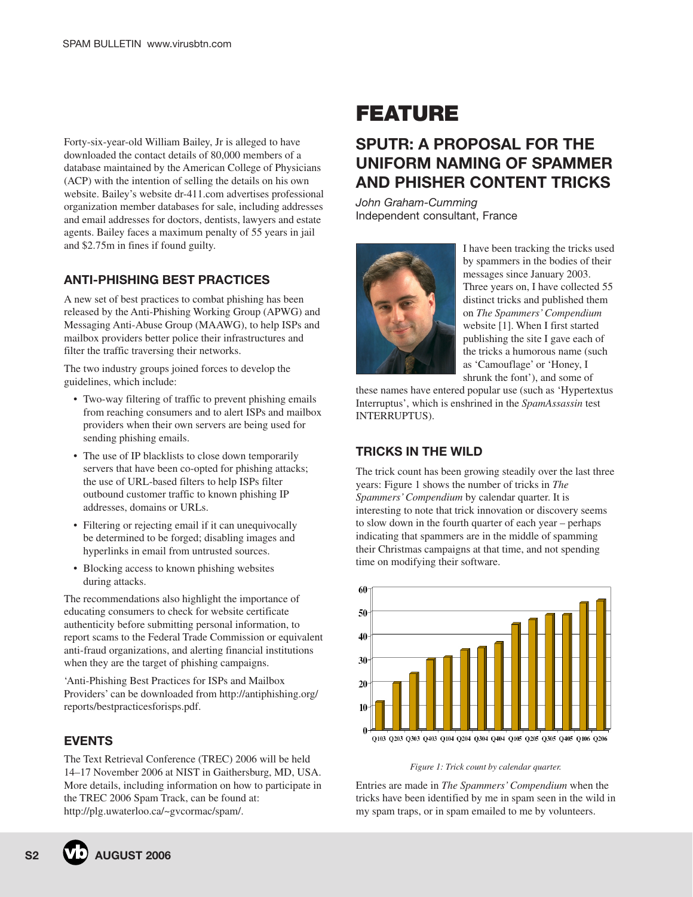<span id="page-21-0"></span>Forty-six-year-old William Bailey, Jr is alleged to have downloaded the contact details of 80,000 members of a database maintained by the American College of Physicians (ACP) with the intention of selling the details on his own website. Bailey's website dr-411.com advertises professional organization member databases for sale, including addresses and email addresses for doctors, dentists, lawyers and estate agents. Bailey faces a maximum penalty of 55 years in jail and \$2.75m in fines if found guilty.

#### **ANTI-PHISHING BEST PRACTICES**

A new set of best practices to combat phishing has been released by the Anti-Phishing Working Group (APWG) and Messaging Anti-Abuse Group (MAAWG), to help ISPs and mailbox providers better police their infrastructures and filter the traffic traversing their networks.

The two industry groups joined forces to develop the guidelines, which include:

- Two-way filtering of traffic to prevent phishing emails from reaching consumers and to alert ISPs and mailbox providers when their own servers are being used for sending phishing emails.
- The use of IP blacklists to close down temporarily servers that have been co-opted for phishing attacks; the use of URL-based filters to help ISPs filter outbound customer traffic to known phishing IP addresses, domains or URLs.
- Filtering or rejecting email if it can unequivocally be determined to be forged; disabling images and hyperlinks in email from untrusted sources.
- Blocking access to known phishing websites during attacks.

The recommendations also highlight the importance of educating consumers to check for website certificate authenticity before submitting personal information, to report scams to the Federal Trade Commission or equivalent anti-fraud organizations, and alerting financial institutions when they are the target of phishing campaigns.

'Anti-Phishing Best Practices for ISPs and Mailbox Providers' can be downloaded from [http://antiphishing.org/](http://antiphishing.org/reports/bestpracticesforisps.pdf) [reports/bestpracticesforisps.pdf.](http://antiphishing.org/reports/bestpracticesforisps.pdf)

#### **EVENTS**

The Text Retrieval Conference (TREC) 2006 will be held 14–17 November 2006 at NIST in Gaithersburg, MD, USA. More details, including information on how to participate in the TREC 2006 Spam Track, can be found at: [http://plg.uwaterloo.ca/~gvcormac/spam/.](http://plg.uwaterloo.ca/~gvcormac/spam/)

# **FEATURE**

## **SPUTR: A PROPOSAL FOR THE UNIFORM NAMING OF SPAMMER AND PHISHER CONTENT TRICKS**

*John Graham-Cumming* Independent consultant, France



I have been tracking the tricks used by spammers in the bodies of their messages since January 2003. Three years on, I have collected 55 distinct tricks and published them on *The Spammers' Compendium* website [1]. When I first started publishing the site I gave each of the tricks a humorous name (such as 'Camouflage' or 'Honey, I shrunk the font'), and some of

these names have entered popular use (such as 'Hypertextus Interruptus', which is enshrined in the *SpamAssassin* test INTERRUPTUS).

#### **TRICKS IN THE WILD**

The trick count has been growing steadily over the last three years: Figure 1 shows the number of tricks in *The Spammers' Compendium* by calendar quarter. It is interesting to note that trick innovation or discovery seems to slow down in the fourth quarter of each year – perhaps indicating that spammers are in the middle of spamming their Christmas campaigns at that time, and not spending time on modifying their software.



*Figure 1: Trick count by calendar quarter.*

Entries are made in *The Spammers' Compendium* when the tricks have been identified by me in spam seen in the wild in my spam traps, or in spam emailed to me by volunteers.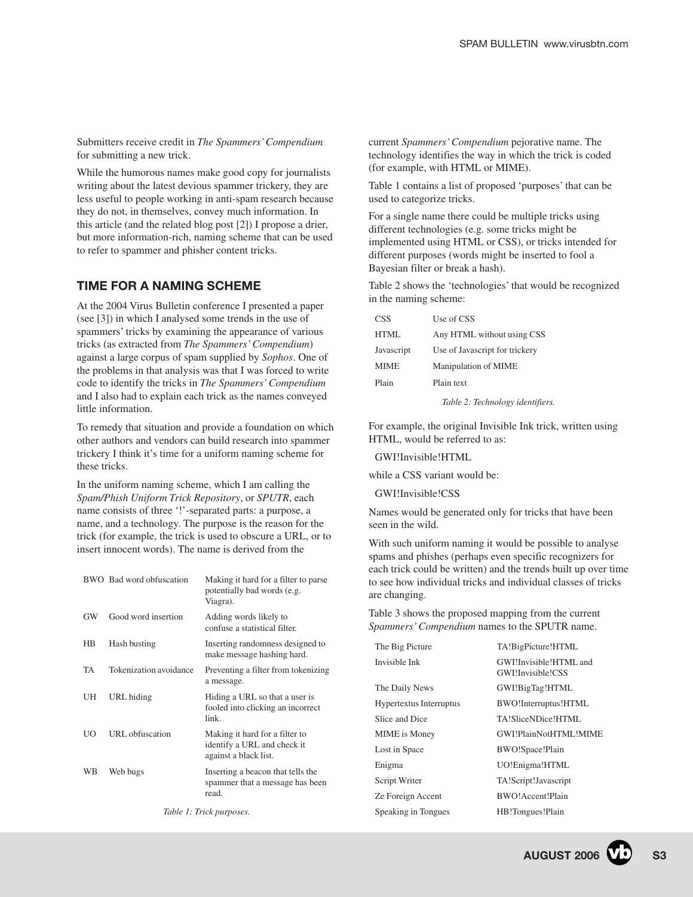Submitters receive credit in *The Spammers' Compendium* for submitting a new trick.

While the humorous names make good copy for journalists writing about the latest devious spammer trickery, they are less useful to people working in anti-spam research because they do not, in themselves, convey much information. In this article (and the related blog post [2]) I propose a drier, but more information-rich, naming scheme that can be used to refer to spammer and phisher content tricks.

#### **TIME FOR A NAMING SCHEME**

At the 2004 Virus Bulletin conference I presented a paper (see [3]) in which I analysed some trends in the use of spammers' tricks by examining the appearance of various tricks (as extracted from *The Spammers' Compendium*) against a large corpus of spam supplied by *Sophos*. One of the problems in that analysis was that I was forced to write code to identify the tricks in *The Spammers' Compendium* and I also had to explain each trick as the names conveyed little information.

To remedy that situation and provide a foundation on which other authors and vendors can build research into spammer trickery I think it's time for a uniform naming scheme for these tricks.

In the uniform naming scheme, which I am calling the *Spam/Phish Uniform Trick Repository*, or *SPUTR*, each name consists of three '!'-separated parts: a purpose, a name, and a technology. The purpose is the reason for the trick (for example, the trick is used to obscure a URL, or to insert innocent words). The name is derived from the

|    | BWO Bad word obfuscation | Making it hard for a filter to parse<br>potentially bad words (e.g.<br>Viagra).        |
|----|--------------------------|----------------------------------------------------------------------------------------|
| GW | Good word insertion      | Adding words likely to<br>confuse a statistical filter.                                |
| HB | Hash busting             | Inserting randomness designed to<br>make message hashing hard.                         |
| TA | Tokenization avoidance   | Preventing a filter from tokenizing<br>a message.                                      |
| UH | URL hiding               | Hiding a URL so that a user is<br>fooled into clicking an incorrect<br>link.           |
| UO | <b>URL</b> obfuscation   | Making it hard for a filter to<br>identify a URL and check it<br>against a black list. |
| WB | Web bugs                 | Inserting a beacon that tells the<br>spammer that a message has been<br>read.          |
|    |                          |                                                                                        |

*Table 1: Trick purposes.*

current *Spammers' Compendium* pejorative name. The technology identifies the way in which the trick is coded (for example, with HTML or MIME).

Table 1 contains a list of proposed 'purposes' that can be used to categorize tricks.

For a single name there could be multiple tricks using different technologies (e.g. some tricks might be implemented using HTML or CSS), or tricks intended for different purposes (words might be inserted to fool a Bayesian filter or break a hash).

Table 2 shows the 'technologies' that would be recognized in the naming scheme:

| <b>CSS</b>  | Use of CSS                       |
|-------------|----------------------------------|
| HTML        | Any HTML without using CSS       |
| Javascript  | Use of Javascript for trickery   |
| <b>MIME</b> | Manipulation of MIME             |
| Plain       | Plain text                       |
|             | Table 2: Technology identifiers. |

For example, the original Invisible Ink trick, written using HTML, would be referred to as:

GWI!Invisible!HTML

while a CSS variant would be:

GWI!Invisible!CSS

Names would be generated only for tricks that have been seen in the wild.

With such uniform naming it would be possible to analyse spams and phishes (perhaps even specific recognizers for each trick could be written) and the trends built up over time to see how individual tricks and individual classes of tricks are changing.

Table 3 shows the proposed mapping from the current *Spammers' Compendium* names to the SPUTR name.

| The Big Picture         | TA!BigPicture!HTML                          |
|-------------------------|---------------------------------------------|
| Invisible Ink           | GWI!Invisible!HTML and<br>GWI Invisible CSS |
| The Daily News          | GWI!BigTag!HTML                             |
| Hypertextus Interruptus | BWO!Interruptus!HTML                        |
| Slice and Dice          | TA!SliceNDice!HTML                          |
| <b>MIME</b> is Money    | GWI!PlainNotHTML!MIME                       |
| Lost in Space           | BWO!Space!Plain                             |
| Enigma                  | UO!Enigma!HTML                              |
| Script Writer           | TA!Script!Javascript                        |
| Ze Foreign Accent       | BWO!Accent!Plain                            |
| Speaking in Tongues     | HB!Tongues!Plain                            |